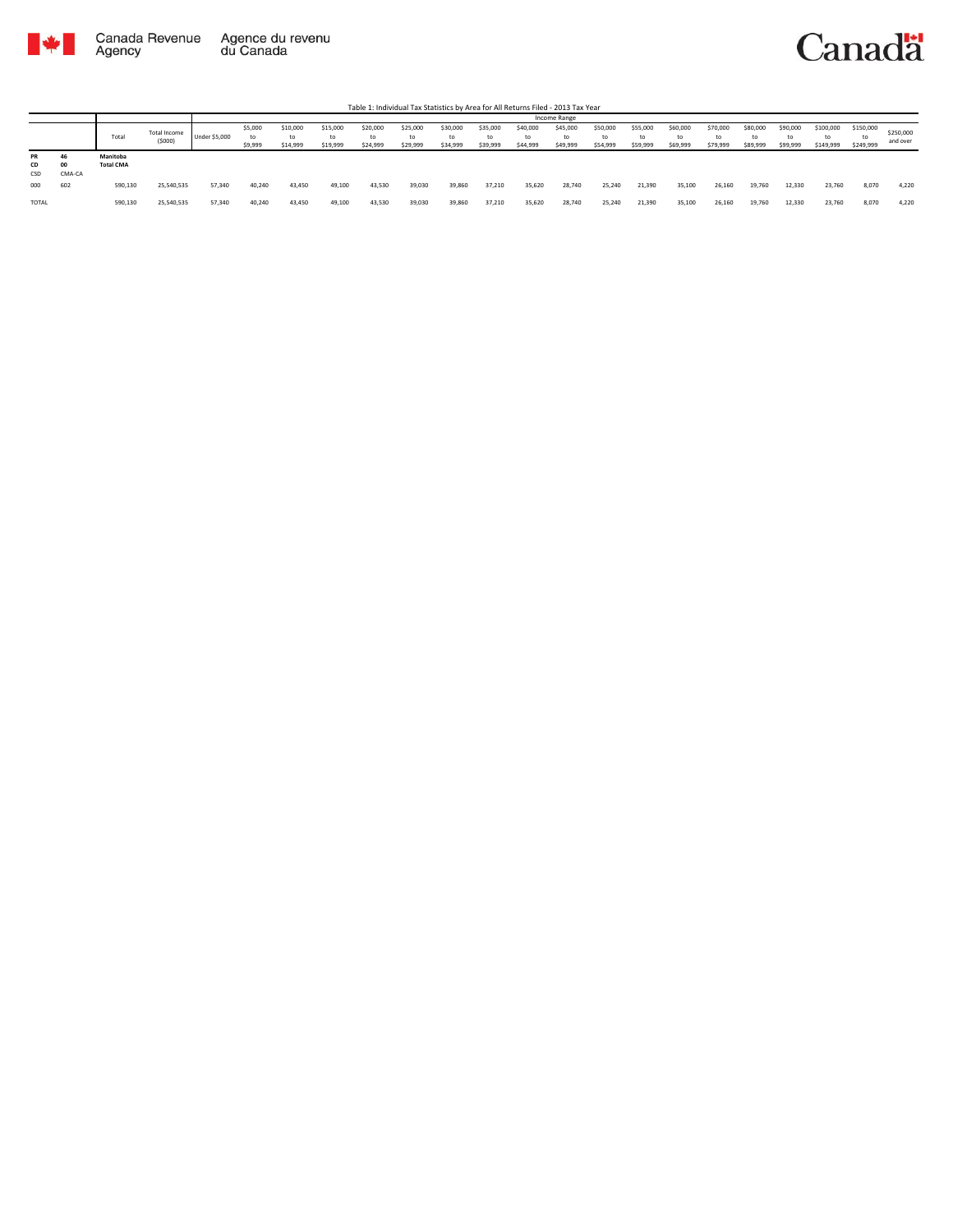

Table 1: Individual Tax Statistics by Area for All Returns Filed - 2013 Tax Year

|                 |              |                              |                        |                      |                          |                            |                            |                            |                            |                            |                            |                            | Income Range               |                            |                            |                            |                            |                            |                            |                              |                              |                       |
|-----------------|--------------|------------------------------|------------------------|----------------------|--------------------------|----------------------------|----------------------------|----------------------------|----------------------------|----------------------------|----------------------------|----------------------------|----------------------------|----------------------------|----------------------------|----------------------------|----------------------------|----------------------------|----------------------------|------------------------------|------------------------------|-----------------------|
|                 |              | Total                        | Total Income<br>(5000) | <b>Under \$5,000</b> | \$5,000<br>to<br>\$9,999 | \$10,000<br>to<br>\$14,999 | \$15,000<br>to<br>\$19,999 | \$20,000<br>to<br>\$24,999 | \$25,000<br>to<br>\$29,999 | \$30,000<br>to<br>\$34,999 | \$35,000<br>to<br>\$39,999 | \$40,000<br>to<br>\$44,999 | \$45,000<br>to<br>\$49,999 | \$50,000<br>to<br>\$54,999 | \$55,000<br>to<br>\$59,999 | \$60,000<br>to<br>\$69,999 | \$70,000<br>to<br>\$79,999 | \$80,000<br>to<br>\$89,999 | \$90,000<br>to<br>\$99,999 | \$100,000<br>to<br>\$149,999 | \$150,000<br>to<br>\$249,999 | \$250,000<br>and over |
| PR<br>CD<br>CSD | OO<br>CMA-CA | Manitoba<br><b>Total CMA</b> |                        |                      |                          |                            |                            |                            |                            |                            |                            |                            |                            |                            |                            |                            |                            |                            |                            |                              |                              |                       |
| 000             | 602          | 590,130                      | 25,540,535             | 57,340               | 40.240                   | 43,450                     | 49,100                     | 43.530                     | 39,030                     | 39,860                     | 37,210                     | 35,620                     | 28,740                     | 25.240                     | 21,390                     | 35.100                     | 26,160                     | 19.760                     | 12,330                     | 23.760                       | 8.070                        | 4.220                 |
| TOTAL           |              | 590,130                      | 25,540,535             | 57,340               | 40.240                   | 43,450                     | 49,100                     | 43,530                     | 39,030                     | 39,860                     | 37,210                     | 35,620                     | 28,740                     | 25,240                     | 21,390                     | 35,100                     | 26,160                     | 19,760                     | 12,330                     | 23,760                       | 8,070                        | 4,220                 |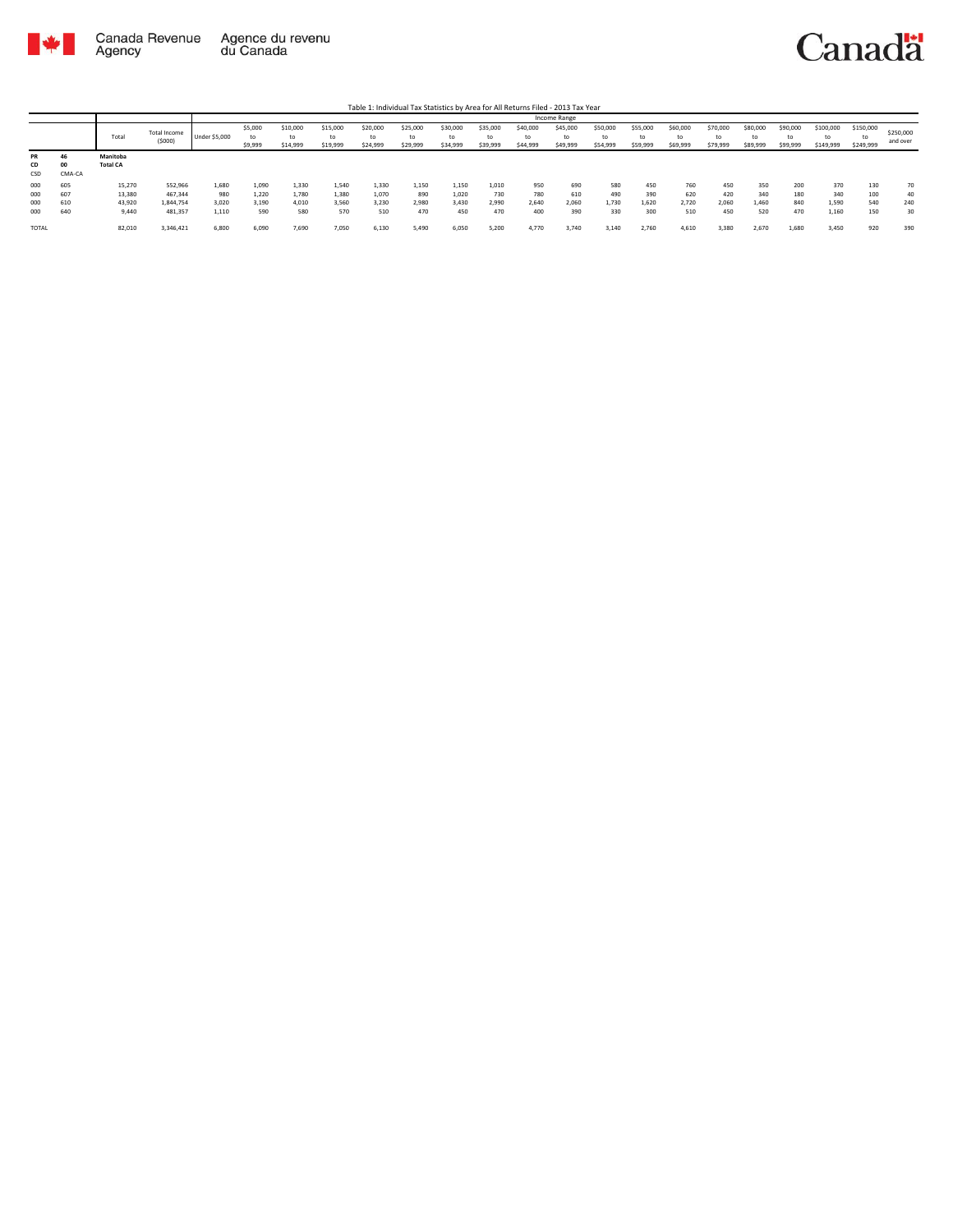

|              |        |                 |              |               |         |          |          |          |          |          |          |          | Income Range |          |          |          |          |          |          |           |           |           |
|--------------|--------|-----------------|--------------|---------------|---------|----------|----------|----------|----------|----------|----------|----------|--------------|----------|----------|----------|----------|----------|----------|-----------|-----------|-----------|
|              |        |                 | Total Income |               | \$5,000 | \$10,000 | \$15,000 | \$20,000 | \$25,000 | \$30,000 | \$35,000 | \$40,000 | \$45,000     | \$50,000 | \$55,000 | \$60,000 | \$70,000 | \$80,000 | \$90,000 | \$100,000 | \$150,000 | \$250,000 |
|              |        | Total           | (5000)       | Under \$5,000 |         | to       |          | to       | to       | to       | to       | to       |              | to       | to       | to       | to       | to       | to       | to        |           | and over  |
|              |        |                 |              |               | \$9,999 | \$14,999 | \$19,999 | \$24,999 | \$29,999 | \$34,999 | \$39,999 | \$44,999 | \$49,999     | \$54,999 | \$59,999 | \$69,999 | \$79,999 | \$89,999 | \$99,999 | \$149,999 | \$249,999 |           |
| PR           | 46     | Manitoba        |              |               |         |          |          |          |          |          |          |          |              |          |          |          |          |          |          |           |           |           |
| CD           | 00     | <b>Total CA</b> |              |               |         |          |          |          |          |          |          |          |              |          |          |          |          |          |          |           |           |           |
| CSD          | CMA-CA |                 |              |               |         |          |          |          |          |          |          |          |              |          |          |          |          |          |          |           |           |           |
| 000          | 605    | 15,270          | 552,966      | 1,680         | 1,090   | 1,330    | 1,540    | 1,330    | 1,150    | 1,150    | 1,010    | 950      | 690          | 580      | 450      | 760      | 450      | 350      | 200      | 370       | 130       | 70        |
| 000          | 607    | 13,380          | 467,344      | 980           | 1,220   | 1,780    | 1,380    | 1,070    | 890      | 1,020    | 730      | 780      | 610          | 490      | 390      | 620      | 420      | 340      | 180      | 340       | 100       | 40        |
| 000          | 610    | 43,920          | 1.844.754    | 3,020         | 3,190   | 4.010    | 3,560    | 3,230    | 2,980    | 3,430    | 2,990    | 2,640    | 2,060        | 1.730    | 1,620    | 2,720    | 2,060    | 1.460    | 840      | 1,590     | 540       | 240       |
| 000          | 640    | 9,440           | 481,357      | 1,110         | 590     | 580      | 570      | 510      | 470      | 450      | 470      | 400      | 390          | 330      | 300      | 510      | 450      | 520      | 470      | 1,160     | 150       | 30        |
|              |        |                 |              |               |         |          |          |          |          |          |          |          |              |          |          |          |          |          |          |           |           |           |
| <b>TOTAL</b> |        | 82,010          | 3,346,421    | 6,800         | 6,090   | 7,690    | 7,050    | 6,130    | 5,490    | 6,050    | 5,200    | 4.770    | 3.740        | 3,140    | 2,760    | 4,610    | 3,380    | 2,670    | 1,680    | 3,450     | 920       | 390       |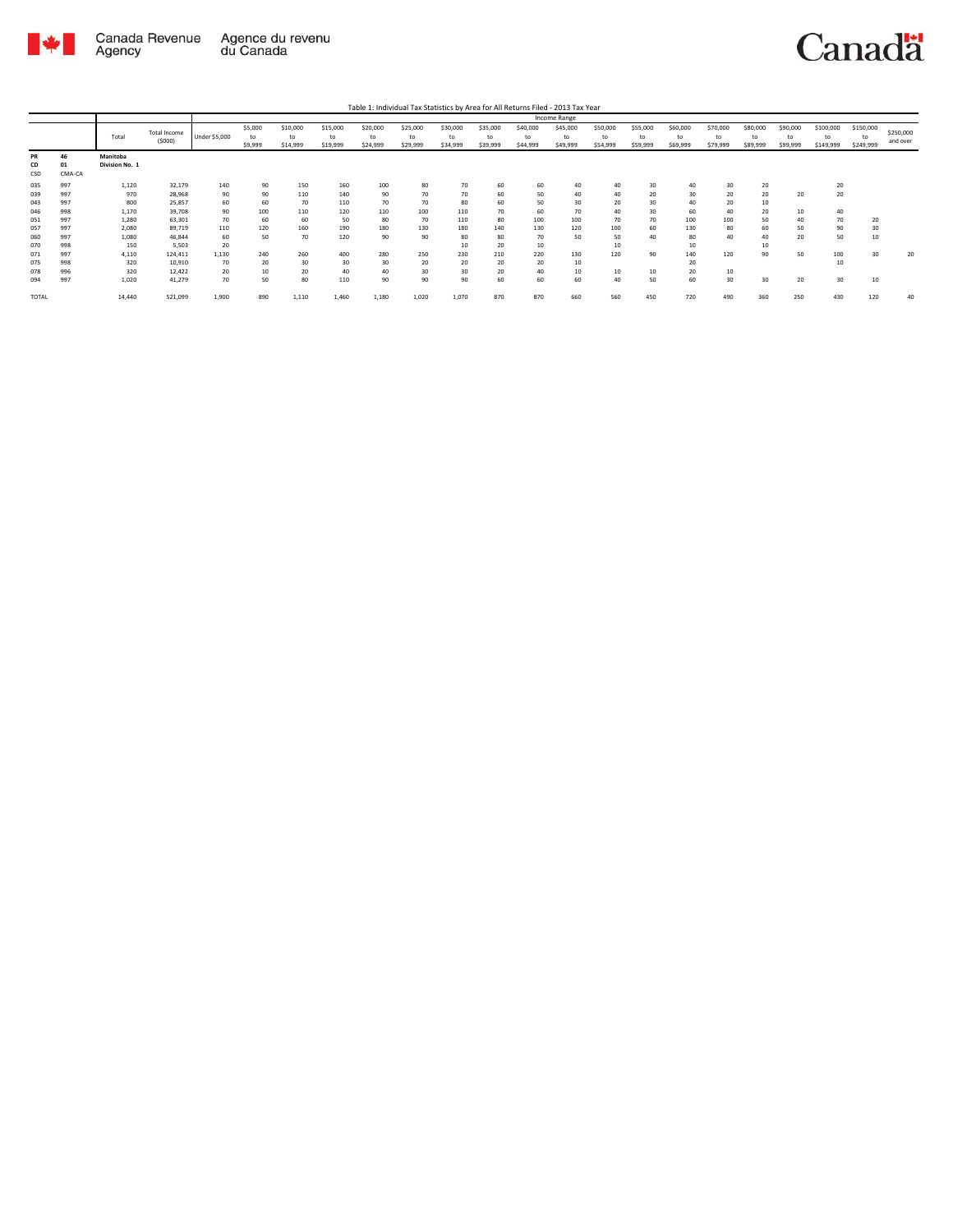

Table 1: Individual Tax Statistics by Area for All Returns Filed - 2013 Tax Year

|       |        |                |              |               |         |          |          |          |          |          |          |          | <b>Income Range</b> |          |          |          |          |          |          |           |           |           |
|-------|--------|----------------|--------------|---------------|---------|----------|----------|----------|----------|----------|----------|----------|---------------------|----------|----------|----------|----------|----------|----------|-----------|-----------|-----------|
|       |        |                | Total Income |               | \$5,000 | \$10,000 | \$15,000 | \$20,000 | \$25,000 | \$30,000 | \$35,000 | \$40,000 | \$45,000            | \$50,000 | \$55,000 | \$60,000 | \$70,000 | \$80,000 | \$90,000 | \$100,000 | \$150,000 | \$250,000 |
|       |        | Total          | (5000)       | Under \$5,000 | to      | to       | to       | to       | to       | to       | to       | to       | to                  | to       | to       | to       | to       | to       | to       | to        | to        |           |
|       |        |                |              |               | \$9,999 | \$14,999 | \$19,999 | \$24,999 | \$29,999 | \$34,999 | \$39,999 | \$44,999 | \$49,999            | \$54,999 | \$59,999 | \$69,999 | \$79,999 | \$89,999 | \$99,999 | \$149,999 | \$249,999 | and over  |
| PR    | 46     | Manitoba       |              |               |         |          |          |          |          |          |          |          |                     |          |          |          |          |          |          |           |           |           |
| CD    | 01     | Division No. 1 |              |               |         |          |          |          |          |          |          |          |                     |          |          |          |          |          |          |           |           |           |
| CSD   | CMA-CA |                |              |               |         |          |          |          |          |          |          |          |                     |          |          |          |          |          |          |           |           |           |
| 035   | 997    | 1,120          | 32,179       | 140           | 90      | 150      | 160      | 100      | 80       | 70       | 60       | 60       | 40                  | 40       | 30       | 40       | 30       | 20       |          | 20        |           |           |
| 039   | 997    | 970            | 28,968       | 90            | 90      | 110      | 140      | 90       | 70       | 70       | 60       | 50       | 40                  | 40       | 20       | 30       | 20       | 20       | 20       | 20        |           |           |
| 043   | 997    | 800            | 25,857       | 60            | 60      | 70       | 110      | 70       | 70       | 80       | 60       | 50       | 30                  | 20       | 30       | 40       | 20       | 10       |          |           |           |           |
| 046   | 998    | 1.170          | 39.708       | 90            | 100     | 110      | 120      | 110      | 100      | 110      | 70       | 60       | 70                  | 40       | 30       | 60       | 40       | 20       | 10       | 40        |           |           |
| 051   | 997    | 1,280          | 63.301       | 70            | 60      | 60       | 50       | 80       | 70       | 110      | 80       | 100      | 100                 | 70       | 70       | 100      | 100      | 50       | 40       | 70        | 20        |           |
| 057   | 997    | 2,080          | 89,719       | 110           | 120     | 160      | 190      | 180      | 130      | 180      | 140      | 130      | 120                 | 100      | 60       | 130      | 80       | 60       | 50       | 90        | 30        |           |
| 060   | 997    | 1,080          | 46.844       | 60            | 50      | 70       | 120      | 90       | 90       | 80       | 80       | 70       | 50                  | 50       | 40       | 80       | 40       | 40       | 20       | 50        | 10        |           |
| 070   | 998    | 150            | 5.503        | 20            |         |          |          |          |          | 10       | 20       | 10       |                     | 10       |          | 10       |          | 10       |          |           |           |           |
| 071   | 997    | 4,110          | 124,411      | 1,130         | 240     | 260      | 400      | 280      | 250      | 230      | 210      | 220      | 130                 | 120      | 90       | 140      | 120      | 90       | 50       | 100       | 30        | 20        |
| 075   | 998    | 320            | 10,910       | 70            | 20      | 30       | 30       | 30       | 20       | 20       | 20       | 20       | 10                  |          |          | 20       |          |          |          | 10        |           |           |
| 078   | 996    | 320            | 12,422       | 20            | 10      | 20       | 40       | 40       | 30       | 30       | 20       | 40       | 10                  | 10       | 10       | 20       | 10       |          |          |           |           |           |
| 094   | 997    | 1,020          | 41,279       | 70            | 50      | 80       | 110      | 90       | 90       | 90       | 60       | 60       | 60                  | 40       | 50       | 60       | 30       | 30       | 20       | 30        | 10        |           |
| TOTAL |        | 14,440         | 521,099      | 1,900         | 890     | 1,110    | 1,460    | 1,180    | 1,020    | 1,070    | 870      | 870      | 660                 | 560      | 450      | 720      | 490      | 360      | 250      | 430       | 120       | 40        |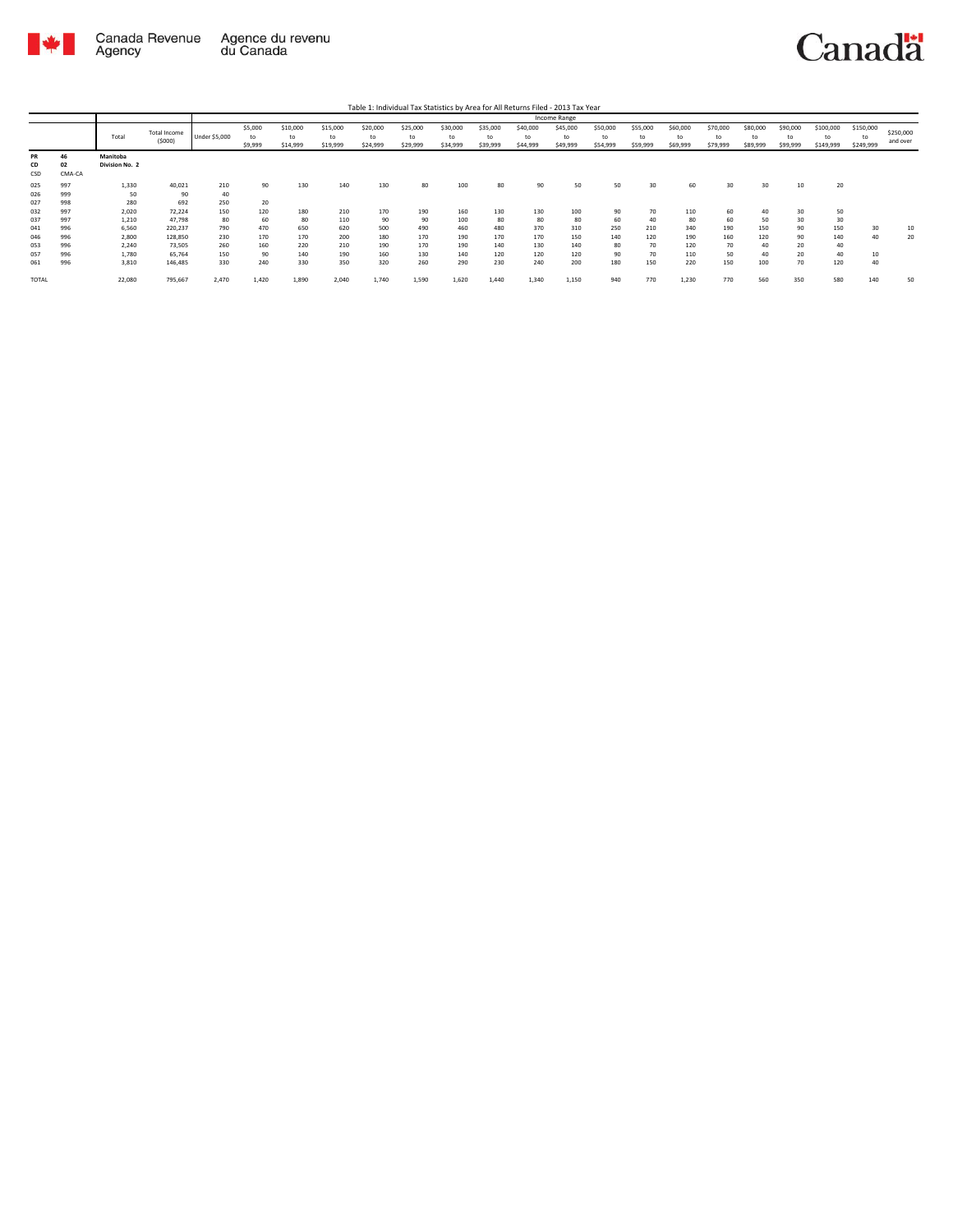

Table 1: Individual Tax Statistics by Area for All Returns Filed - 2013 Tax Year

|                        |                    |                            |                               |                   |                          |                            |                            |                            |                            |                            |                            |                            | Income Range               |                            |                            |                            |                            |                            |                            |                              |                              |                       |
|------------------------|--------------------|----------------------------|-------------------------------|-------------------|--------------------------|----------------------------|----------------------------|----------------------------|----------------------------|----------------------------|----------------------------|----------------------------|----------------------------|----------------------------|----------------------------|----------------------------|----------------------------|----------------------------|----------------------------|------------------------------|------------------------------|-----------------------|
|                        |                    | Total                      | <b>Total Income</b><br>(5000) | Under \$5,000     | \$5,000<br>to<br>\$9,999 | \$10,000<br>to<br>\$14,999 | \$15,000<br>to<br>\$19,999 | \$20,000<br>to<br>\$24,999 | \$25,000<br>to<br>\$29,999 | \$30,000<br>to<br>\$34,999 | \$35,000<br>to<br>\$39,999 | \$40,000<br>to<br>\$44,999 | \$45,000<br>to<br>\$49,999 | \$50,000<br>to<br>\$54,999 | \$55,000<br>to<br>\$59,999 | \$60,000<br>to<br>\$69,999 | \$70,000<br>to<br>\$79,999 | \$80,000<br>to<br>\$89,999 | \$90,000<br>to<br>\$99,999 | \$100,000<br>to<br>\$149,999 | \$150,000<br>to<br>\$249,999 | \$250,000<br>and over |
| <b>PR</b><br>CD<br>CSD | 46<br>02<br>CMA-CA | Manitoba<br>Division No. 2 |                               |                   |                          |                            |                            |                            |                            |                            |                            |                            |                            |                            |                            |                            |                            |                            |                            |                              |                              |                       |
| 025<br>026<br>027      | 997<br>999<br>998  | 1,330<br>50<br>280         | 40,021<br>90<br>692           | 210<br>40<br>250  | 90<br>20                 | 130                        | 140                        | 130                        | 80                         | 100                        | 80                         | 90                         | 50                         | 50                         | 30                         | 60                         | 30                         | 30                         | 10                         | 20                           |                              |                       |
| 032<br>037             | 997<br>997         | 2,020<br>1,210             | 72,224<br>47,798              | 150<br>80         | 120<br>60                | 180<br>80                  | 210<br>110                 | 170<br>90                  | 190<br>90                  | 160<br>100                 | 130<br>80                  | 130<br>80                  | 100<br>80                  | 90<br>60                   | 70<br>40                   | 110<br>80                  | 60<br>60                   | 40<br>50                   | 30<br>30                   | 50<br>30                     |                              |                       |
| 041<br>046<br>053      | 996<br>996<br>996  | 6.560<br>2,800<br>2,240    | 220,237<br>128,850<br>73,505  | 790<br>230<br>260 | 470<br>170<br>160        | 650<br>170<br>220          | 620<br>200<br>210          | 500<br>180<br>190          | 490<br>170<br>170          | 460<br>190<br>190          | 480<br>170<br>140          | 370<br>170<br>130          | 310<br>150<br>140          | 250<br>140<br>80           | 210<br>120<br>70           | 340<br>190<br>120          | 190<br>160<br>70           | 150<br>120<br>40           | 90<br>90<br>20             | 150<br>140<br>40             | 30<br>40                     | 10<br>20              |
| 057<br>061             | 996<br>996         | 1,780<br>3,810             | 65,764<br>146,485             | 150<br>330        | 90<br>240                | 140<br>330                 | 190<br>350                 | 160<br>320                 | 130<br>260                 | 140<br>290                 | 120<br>230                 | 120<br>240                 | 120<br>200                 | 90<br>180                  | 70<br>150                  | 110<br>220                 | 50<br>150                  | 40<br>100                  | 20<br>70                   | 40<br>120                    | 40                           |                       |
| <b>TOTAL</b>           |                    | 22,080                     | 795,667                       | 2,470             | 1,420                    | 1,890                      | 2,040                      | 1.740                      | 1,590                      | 1,620                      | 1.440                      | 1,340                      | 1,150                      | 940                        | 770                        | 1,230                      | 770                        | 560                        | 350                        | 580                          | 140                          | 50                    |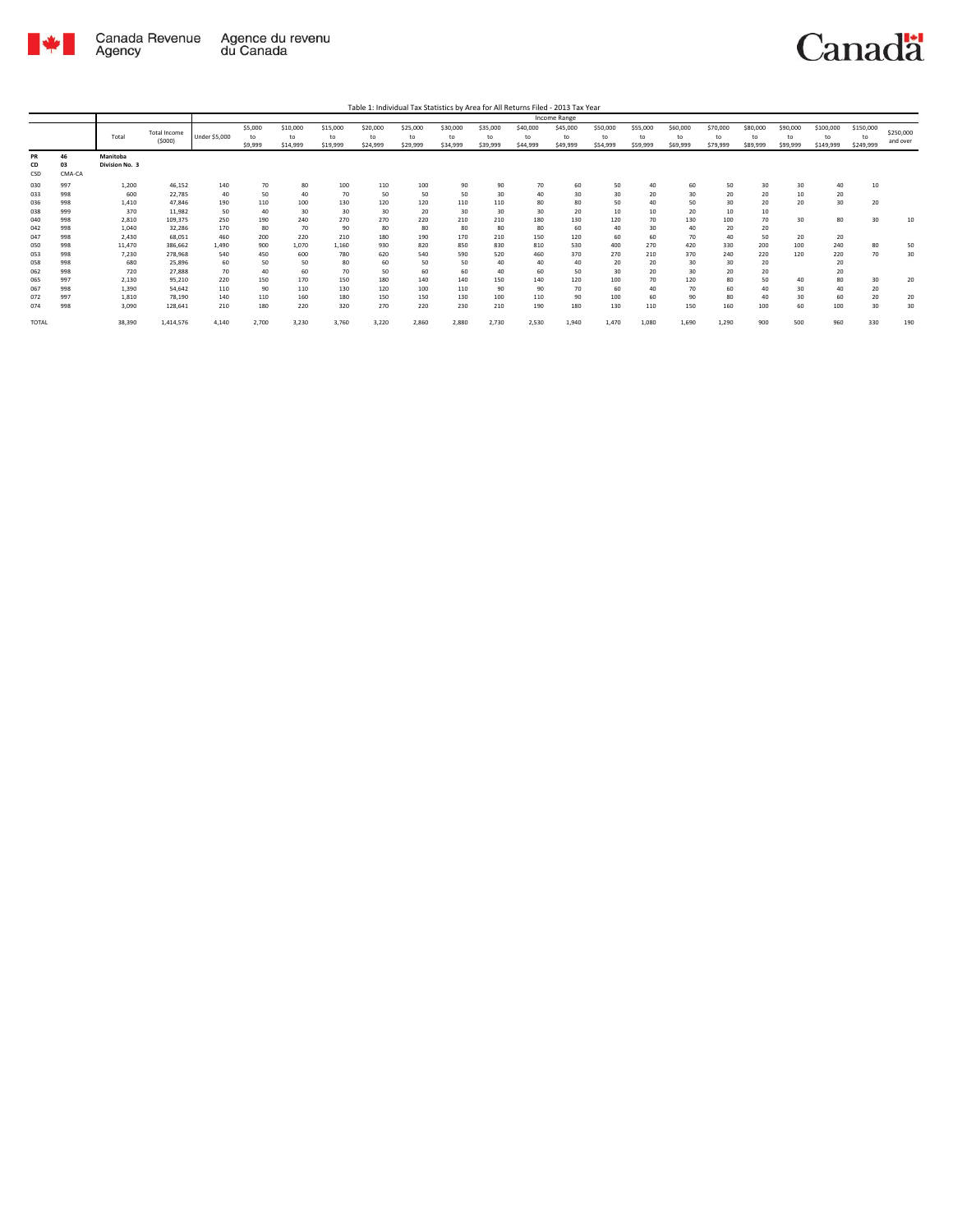

Table 1: Individual Tax Statistics by Area for All Returns Filed - 2013 Tax Year

|                 |                    |                            |                               |                      |                          |                            |                            |                            |                            |                            |                            |                            | Income Range               |                            |                            |                            |                            |                            |                            |                              |                              |                       |
|-----------------|--------------------|----------------------------|-------------------------------|----------------------|--------------------------|----------------------------|----------------------------|----------------------------|----------------------------|----------------------------|----------------------------|----------------------------|----------------------------|----------------------------|----------------------------|----------------------------|----------------------------|----------------------------|----------------------------|------------------------------|------------------------------|-----------------------|
|                 |                    | Total                      | <b>Total Income</b><br>(5000) | <b>Under \$5,000</b> | \$5,000<br>to<br>\$9,999 | \$10,000<br>to<br>\$14,999 | \$15,000<br>to<br>\$19,999 | \$20,000<br>to<br>\$24,999 | \$25,000<br>to<br>\$29,999 | \$30,000<br>to<br>\$34,999 | \$35,000<br>to<br>\$39,999 | \$40,000<br>to<br>\$44,999 | \$45,000<br>to<br>\$49,999 | \$50,000<br>to<br>\$54,999 | \$55,000<br>to<br>\$59,999 | \$60,000<br>to<br>\$69,999 | \$70,000<br>to<br>\$79,999 | \$80,000<br>to<br>\$89,999 | \$90,000<br>to<br>\$99,999 | \$100,000<br>to<br>\$149,999 | \$150,000<br>to<br>\$249,999 | \$250,000<br>and over |
| PR<br>CD<br>CSD | 46<br>03<br>CMA-CA | Manitoba<br>Division No. 3 |                               |                      |                          |                            |                            |                            |                            |                            |                            |                            |                            |                            |                            |                            |                            |                            |                            |                              |                              |                       |
| 030             | 997                | 1,200                      | 46,152                        | 140                  | 70                       | 80                         | 100                        | 110                        | 100                        | 90                         | 90                         | 70                         | 60                         | 50                         | 40                         | 60                         | 50                         | 30                         | 30                         | 40                           | 10                           |                       |
| 033             | 998                | 600                        | 22,785                        | 40                   | 50                       | 40                         | 70                         | 50                         | 50                         | 50                         | 30                         | 40                         | 30                         | 30                         | 20                         | 30                         | 20                         | 20                         | 10                         | 20                           |                              |                       |
| 036             | 998                | 1,410                      | 47.846                        | 190                  | 110                      | 100                        | 130                        | 120                        | 120                        | 110                        | 110                        | 80                         | 80                         | 50                         | 40                         | 50                         | 30                         | 20                         | 20                         | 30                           | 20                           |                       |
| 038             | 999                | 370                        | 11,982                        | 50                   | 40                       | 30                         | 30                         | 30                         | 20                         | 30                         | 30                         | 30                         | 20                         | 10                         | 10                         | 20                         | 10                         | 10                         |                            |                              |                              |                       |
| 040             | 998                | 2,810                      | 109,375                       | 250                  | 190                      | 240                        | 270                        | 270                        | 220                        | 210                        | 210                        | 180                        | 130                        | 120                        | 70                         | 130                        | 100                        | 70                         | 30                         | 80                           | 30                           | 10                    |
| 042             | 998                | 1,040                      | 32,286                        | 170                  | 80                       | 70                         | 90                         | 80                         | 80                         | 80                         | 80                         | 80                         | 60                         | 40                         | 30                         | 40                         | 20                         | 20                         |                            |                              |                              |                       |
| 047             | 998                | 2.430                      | 68,051                        | 460                  | 200                      | 220                        | 210                        | 180                        | 190                        | 170                        | 210                        | 150                        | 120                        | 60                         | 60                         | 70                         | 40                         | 50                         | 20                         | 20                           |                              |                       |
| 050             | 998                | 11,470                     | 386,662                       | 1.490                | 900                      | 1,070                      | 1,160                      | 930                        | 820                        | 850                        | 830                        | 810                        | 530                        | 400                        | 270                        | 420                        | 330                        | 200                        | 100                        | 240                          | 80                           | 50                    |
| 053             | 998                | 7,230                      | 278,968                       | 540                  | 450                      | 600                        | 780                        | 620                        | 540                        | 590                        | 520                        | 460                        | 370                        | 270                        | 210                        | 370                        | 240                        | 220                        | 120                        | 220                          | 70                           | 30                    |
| 058             | 998                | 680                        | 25,896                        | 60                   | 50                       | 50                         | 80                         | 60                         | 50                         | 50                         | 40                         | 40                         | 40                         | 20                         | 20                         | 30                         | 30                         | 20                         |                            | 20                           |                              |                       |
| 062             | 998                | 720                        | 27.888                        | 70                   | 40                       | 60                         | 70                         | 50                         | 60                         | 60                         | 40                         | 60                         | 50                         | 30                         | 20                         | 30                         | 20                         | 20                         |                            | 20                           |                              |                       |
| 065             | 997                | 2,130                      | 95,210                        | 220                  | 150                      | 170                        | 150                        | 180                        | 140                        | 140                        | 150                        | 140                        | 120                        | 100                        | 70                         | 120                        | 80                         | 50                         | 40                         | 80                           | 30                           | 20                    |
| 067             | 998                | 1,390                      | 54.642                        | 110                  | 90                       | 110                        | 130                        | 120                        | 100                        | 110                        | 90                         | 90                         | 70                         | 60                         | 40                         | 70                         | 60                         | 40                         | 30                         | 40                           | 20                           |                       |
| 072             | 997                | 1,810                      | 78,190                        | 140                  | 110                      | 160                        | 180                        | 150                        | 150                        | 130                        | 100                        | 110                        | 90                         | 100                        | 60                         | 90                         | 80                         | 40                         | 30                         | 60                           | 20                           | 20                    |
| 074             | 998                | 3,090                      | 128,641                       | 210                  | 180                      | 220                        | 320                        | 270                        | 220                        | 230                        | 210                        | 190                        | 180                        | 130                        | 110                        | 150                        | 160                        | 100                        | 60                         | 100                          | 30                           | 30                    |
| <b>TOTAL</b>    |                    | 38,390                     | 1,414,576                     | 4,140                | 2,700                    | 3,230                      | 3,760                      | 3,220                      | 2,860                      | 2,880                      | 2,730                      | 2,530                      | 1,940                      | 1.470                      | 1,080                      | 1,690                      | 1,290                      | 900                        | 500                        | 960                          | 330                          | 190                   |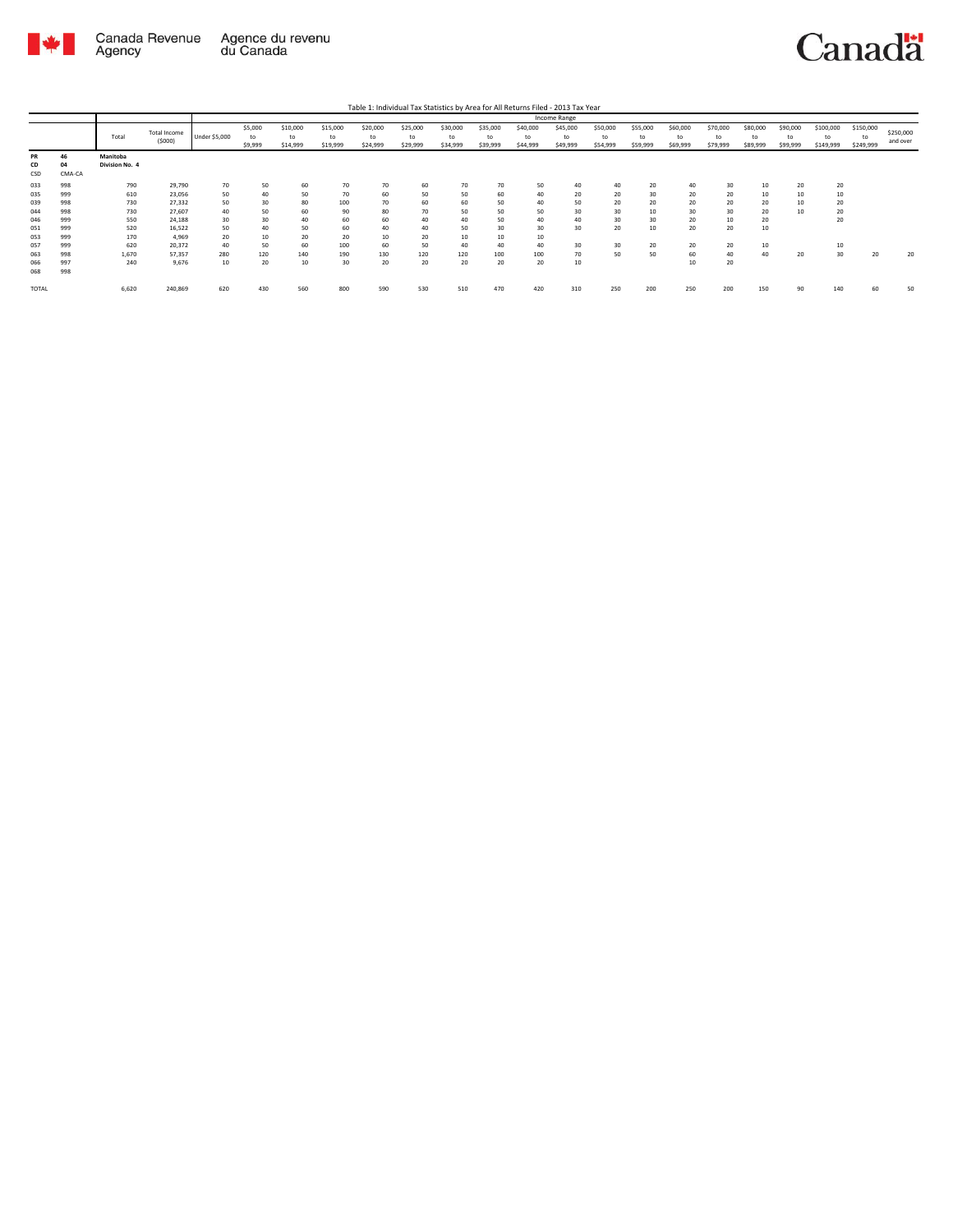

|                        |                    |                            |                        |               |                          |                            |                            |                            |                            |                            |                            |                            | Income Range               |                            |                            |                            |                            |                            |                            |                              |                              |                       |
|------------------------|--------------------|----------------------------|------------------------|---------------|--------------------------|----------------------------|----------------------------|----------------------------|----------------------------|----------------------------|----------------------------|----------------------------|----------------------------|----------------------------|----------------------------|----------------------------|----------------------------|----------------------------|----------------------------|------------------------------|------------------------------|-----------------------|
|                        |                    | Total                      | Total Income<br>(5000) | Under \$5,000 | \$5,000<br>to<br>\$9,999 | \$10,000<br>to<br>\$14,999 | \$15,000<br>to<br>\$19,999 | \$20,000<br>to<br>\$24,999 | \$25,000<br>to<br>\$29,999 | \$30,000<br>to<br>\$34,999 | \$35,000<br>to<br>\$39,999 | \$40,000<br>to<br>\$44,999 | \$45,000<br>to<br>\$49,999 | \$50,000<br>to<br>\$54,999 | \$55,000<br>to<br>\$59,999 | \$60,000<br>to<br>\$69,999 | \$70,000<br>to<br>\$79,999 | \$80,000<br>to<br>\$89,999 | \$90,000<br>to<br>\$99,999 | \$100,000<br>to<br>\$149,999 | \$150,000<br>to<br>\$249,999 | \$250,000<br>and over |
| <b>PR</b><br>CD<br>CSD | 46<br>04<br>CMA-CA | Manitoba<br>Division No. 4 |                        |               |                          |                            |                            |                            |                            |                            |                            |                            |                            |                            |                            |                            |                            |                            |                            |                              |                              |                       |
| 033                    | 998                | 790                        | 29,790                 | 70            | 50                       | 60                         | 70                         | 70                         | 60                         | 70                         | 70                         | 50                         | 40                         | 40                         | 20                         | 40                         | 30                         | 10                         | 20                         | 20                           |                              |                       |
| 035                    | 999                | 610                        | 23,056                 | 50            | 40                       | 50                         | 70                         | 60                         | 50                         | 50                         | 60                         | 40                         | 20                         | 20                         | 30                         | 20                         | 20                         | 10                         | 10                         | 10                           |                              |                       |
| 039                    | 998                | 730                        | 27,332                 | 50            | 30                       | 80                         | 100                        | 70                         | 60                         | 60                         | 50                         | 40                         | 50                         | 20                         | 20                         | 20                         | 20                         | 20                         | 10                         | 20                           |                              |                       |
| 044                    | 998                | 730                        | 27.607                 | 40            | 50                       | 60                         | 90                         | 80                         | 70                         | 50                         | 50                         | 50                         | 30                         | 30                         | 10                         | 30                         | 30                         | 20                         | 10                         | 20                           |                              |                       |
| 046                    | 999                | 550                        | 24,188                 | 30            | 30                       | 40                         | 60                         | 60                         | 40                         | 40                         | 50                         | 40                         | 40                         | 30                         | 30                         | 20                         | 10                         | 20                         |                            | 20                           |                              |                       |
| 051                    | 999                | 520                        | 16,522                 | 50            | 40                       | 50                         | 60                         | 40                         | 40                         | 50                         | 30                         | 30                         | 30                         | 20                         | 10                         | 20                         | 20                         | 10                         |                            |                              |                              |                       |
| 053                    | 999                | 170                        | 4,969                  | 20            | 10                       | 20                         | 20                         | 10                         | 20                         | 10                         | 10                         | 10                         |                            |                            |                            |                            |                            |                            |                            |                              |                              |                       |
| 057                    | 999                | 620                        | 20,372                 | 40            | 50                       | 60                         | 100                        | 60                         | 50                         | 40                         | 40                         | 40                         | 30                         | 30                         | 20                         | 20                         | 20                         | 10                         |                            | 10                           |                              |                       |
| 063                    | 998                | 1,670                      | 57,357                 | 280           | 120                      | 140                        | 190                        | 130                        | 120                        | 120                        | 100                        | 100                        | 70                         | 50                         | 50                         | 60                         | 40                         | 40                         | 20                         | 30                           | 20                           | 20                    |
| 066                    | 997                | 240                        | 9,676                  | 10            | 20                       | 10                         | 30                         | 20                         | 20                         | 20                         | 20                         | 20                         | 10                         |                            |                            | 10                         | 20                         |                            |                            |                              |                              |                       |
| 068                    | 998                |                            |                        |               |                          |                            |                            |                            |                            |                            |                            |                            |                            |                            |                            |                            |                            |                            |                            |                              |                              |                       |
| <b>TOTAL</b>           |                    | 6,620                      | 240,869                | 620           | 430                      | 560                        | 800                        | 590                        | 530                        | 510                        | 470                        | 420                        | 310                        | 250                        | 200                        | 250                        | 200                        | 150                        | 90                         | 140                          | 60                           | 50                    |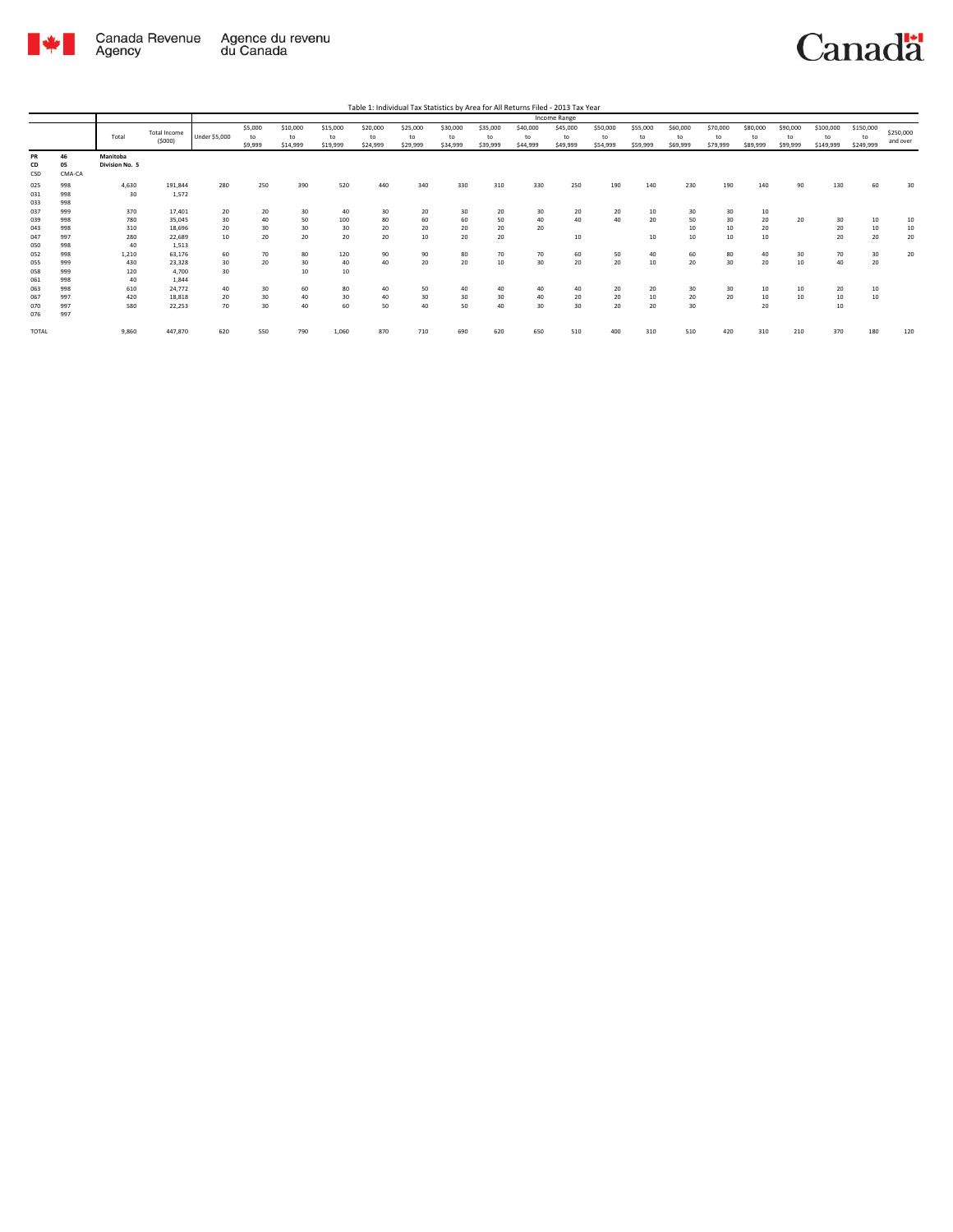

|                     |                    |                            |                               |                |                          |                            |                            | Table 1: Individual Tax Statistics by Area for All Returns Filed - 2013 Tax Year |                            |                            |                            |                            |                            |                            |                            |                            |                            |                            |                            |                              |                              |                       |
|---------------------|--------------------|----------------------------|-------------------------------|----------------|--------------------------|----------------------------|----------------------------|----------------------------------------------------------------------------------|----------------------------|----------------------------|----------------------------|----------------------------|----------------------------|----------------------------|----------------------------|----------------------------|----------------------------|----------------------------|----------------------------|------------------------------|------------------------------|-----------------------|
|                     |                    |                            |                               |                |                          |                            |                            |                                                                                  |                            |                            |                            |                            | Income Range               |                            |                            |                            |                            |                            |                            |                              |                              |                       |
|                     |                    | Total                      | <b>Total Income</b><br>(5000) | Under \$5,000  | \$5,000<br>to<br>\$9,999 | \$10,000<br>to<br>\$14,999 | \$15,000<br>to<br>\$19,999 | \$20,000<br>to<br>\$24,999                                                       | \$25,000<br>to<br>\$29,999 | \$30,000<br>to<br>\$34,999 | \$35,000<br>to<br>\$39,999 | \$40,000<br>to<br>\$44,999 | \$45,000<br>to<br>\$49,999 | \$50,000<br>to<br>\$54,999 | \$55,000<br>to<br>\$59,999 | \$60,000<br>to<br>\$69,999 | \$70,000<br>to<br>\$79,999 | \$80,000<br>to<br>\$89,999 | \$90,000<br>to<br>\$99,999 | \$100,000<br>to<br>\$149,999 | \$150,000<br>to<br>\$249,999 | \$250,000<br>and over |
| PR<br>CD<br>CSD     | 46<br>05<br>CMA-CA | Manitoba<br>Division No. 5 |                               |                |                          |                            |                            |                                                                                  |                            |                            |                            |                            |                            |                            |                            |                            |                            |                            |                            |                              |                              |                       |
| 025<br>031<br>033   | 998<br>998<br>998  | 4,630<br>30                | 191,844<br>1,572              | 280            | 250                      | 390                        | 520                        | 440                                                                              | 340                        | 330                        | 310                        | 330                        | 250                        | 190                        | 140                        | 230                        | 190                        | 140                        | 90                         | 130                          | 60                           | 30                    |
| 037<br>039<br>043   | 999<br>998<br>998  | 370<br>780<br>310          | 17,401<br>35,045<br>18,696    | 20<br>30<br>20 | 20<br>40<br>30           | 30<br>50<br>30             | 40<br>100<br>30            | 30<br>80<br>20                                                                   | 20<br>60<br>20             | 30<br>60<br>20             | 20<br>50<br>20             | 30<br>40<br>20             | 20<br>40                   | 20<br>40                   | 10 <sup>10</sup><br>20     | 30<br>50<br>10             | 30<br>30<br>10             | 10<br>20<br>20             | 20                         | 30<br>20                     | 10<br>10                     | 10<br>10              |
| 047<br>050<br>052   | 997<br>998<br>998  | 280<br>40<br>1,210         | 22,689<br>1,513<br>63,176     | 10<br>60       | 20<br>70                 | 20<br>80                   | 20<br>120                  | 20<br>90                                                                         | 10<br>90                   | 20<br>80                   | 20<br>70                   | 70                         | 10<br>60                   | 50                         | 10 <sub>10</sub><br>40     | 10<br>60                   | 10<br>80                   | 10<br>40                   | 30                         | 20<br>70                     | 20<br>30                     | 20<br>20              |
| 055<br>058<br>061   | 999<br>999<br>998  | 430<br>120<br>40           | 23,328<br>4.700<br>1.844      | 30<br>30       | 20                       | 30<br>10                   | 40<br>10                   | 40                                                                               | 20                         | 20                         | 10                         | 30                         | 20                         | 20                         | 10                         | 20                         | 30                         | 20                         | 10                         | 40                           | 20                           |                       |
| 063<br>067<br>070   | 998<br>997<br>997  | 610<br>420<br>580          | 24.772<br>18,818<br>22,253    | 40<br>20<br>70 | 30<br>30<br>30           | 60<br>40<br>40             | 80<br>30<br>60             | 40<br>40<br>50                                                                   | 50<br>30<br>40             | 40<br>30<br>50             | 40<br>30<br>40             | 40<br>40<br>30             | 40<br>20<br>30             | 20<br>20<br>20             | 20<br>10<br>20             | 30<br>20<br>30             | 30<br>20                   | 10<br>10<br>20             | 10<br>10                   | 20<br>10<br>10               | 10<br>10                     |                       |
| 076<br><b>TOTAL</b> | 997                | 9,860                      | 447,870                       | 620            | 550                      | 790                        | 1,060                      | 870                                                                              | 710                        | 690                        | 620                        | 650                        | 510                        | 400                        | 310                        | 510                        | 420                        | 310                        | 210                        | 370                          | 180                          | 120                   |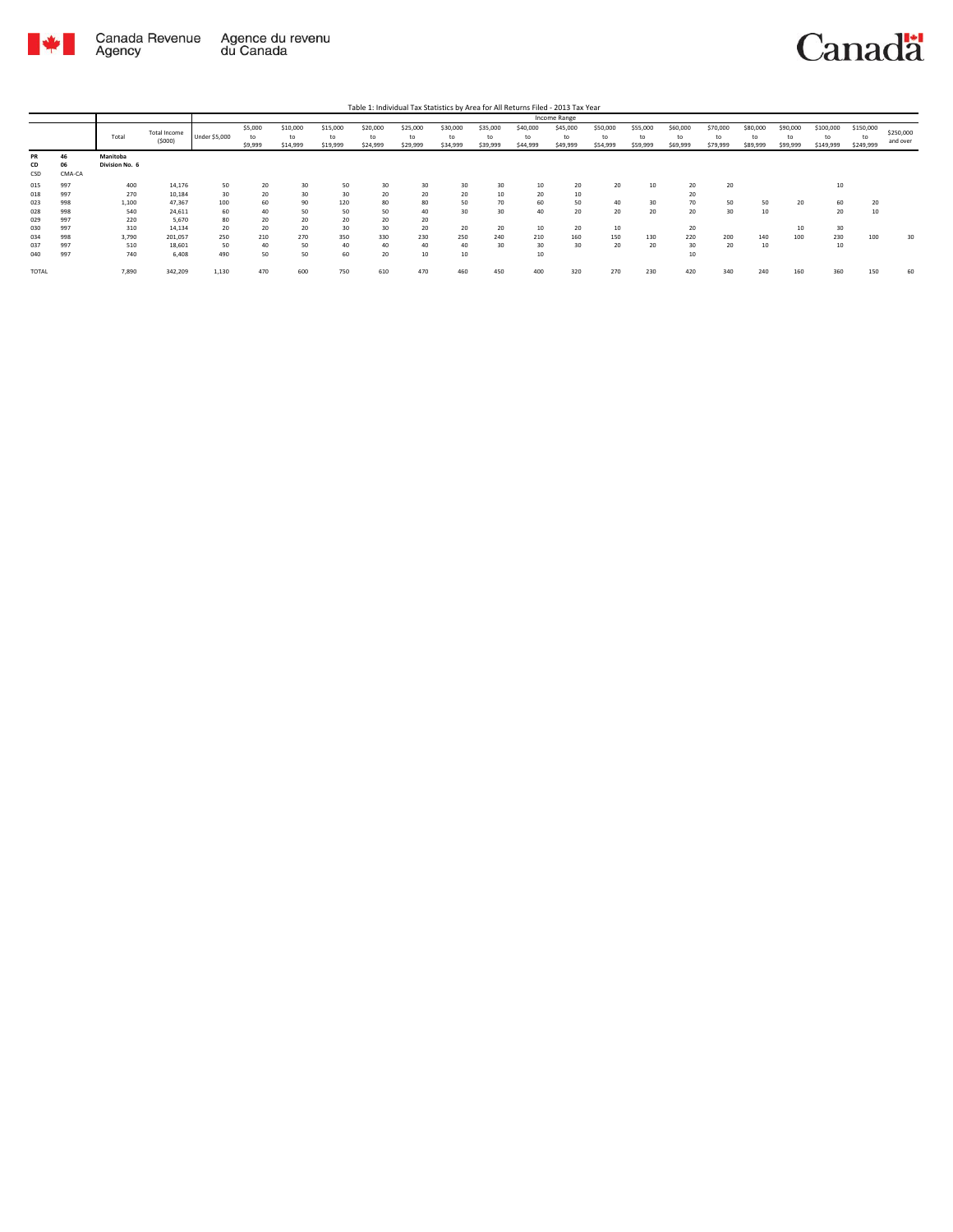

|                 |                           |                            |                        |               |                          |                            |                            |                            |                            |                            |                            |                            | Income Range               |                            |                            |                            |                            |                            |                            |                              |                              |                       |
|-----------------|---------------------------|----------------------------|------------------------|---------------|--------------------------|----------------------------|----------------------------|----------------------------|----------------------------|----------------------------|----------------------------|----------------------------|----------------------------|----------------------------|----------------------------|----------------------------|----------------------------|----------------------------|----------------------------|------------------------------|------------------------------|-----------------------|
|                 |                           | Total                      | Total Income<br>(5000) | Under \$5,000 | \$5,000<br>to<br>\$9,999 | \$10,000<br>to<br>\$14,999 | \$15,000<br>to<br>\$19,999 | \$20,000<br>to<br>\$24,999 | \$25,000<br>to<br>\$29,999 | \$30,000<br>to<br>\$34,999 | \$35,000<br>to<br>\$39,999 | \$40,000<br>to<br>\$44,999 | \$45,000<br>to<br>\$49,999 | \$50,000<br>to<br>\$54,999 | \$55,000<br>to<br>\$59,999 | \$60,000<br>to<br>\$69,999 | \$70,000<br>to<br>\$79,999 | \$80,000<br>to<br>\$89,999 | \$90,000<br>to<br>\$99,999 | \$100,000<br>to<br>\$149,999 | \$150,000<br>to<br>\$249,999 | \$250,000<br>and over |
| PR<br>CD<br>CSD | 46<br><b>Ut</b><br>CMA-CA | Manitoba<br>Division No. 6 |                        |               |                          |                            |                            |                            |                            |                            |                            |                            |                            |                            |                            |                            |                            |                            |                            |                              |                              |                       |
| 015<br>018      | 997<br>997                | 400<br>270                 | 14,176<br>10,184       | 50<br>30      | 20<br>20                 | 30<br>30                   | 50<br>30                   | 30<br>20                   | 30<br>20                   | 30<br>20                   | 30<br>10                   | 10<br>20                   | 20<br>10                   | 20                         | 10                         | 20<br>20                   | 20                         |                            |                            | 10                           |                              |                       |
| 023             | 998                       | 1,100                      | 47,367                 | 100           | 60                       | 90                         | 120                        | 80                         | 80                         | 50                         | 70                         | 60                         | 50                         | 40                         | 30                         | 70                         | 50                         | 50                         | 20                         | 60                           | 20                           |                       |
| 028<br>029      | 998<br>997                | 540<br>220                 | 24,611<br>5,670        | 60<br>80      | 40<br>20                 | 50<br>20                   | 50<br>20                   | 50<br>20                   | 40<br>20                   | 30                         | 30                         | 40                         | 20                         | 20                         | 20                         | 20                         | 30                         | 10                         |                            | 20                           | 10                           |                       |
| 030<br>034      | 997<br>998                | 310<br>3,790               | 14,134<br>201,057      | 20<br>250     | 20<br>210                | 20<br>270                  | 30<br>350                  | 30<br>330                  | 20<br>230                  | 20<br>250                  | 20<br>240                  | 10<br>210                  | 20<br>160                  | 10<br>150                  | 130                        | 20<br>220                  | 200                        | 140                        | 10<br>100                  | 30<br>230                    | 100                          | 30                    |
| 037<br>040      | 997<br>997                | 510<br>740                 | 18,601<br>6,408        | 50<br>490     | 40<br>50                 | 50<br>50                   | 40<br>60                   | 40<br>20                   | 40<br>10                   | 40<br>10                   | 30                         | 30<br>10                   | 30                         | 20                         | 20                         | 30<br>10                   | 20                         | 10                         |                            | 10                           |                              |                       |
| <b>TOTAL</b>    |                           | 7,890                      | 342,209                | 1,130         | 470                      | 600                        | 750                        | 610                        | 470                        | 460                        | 450                        | 400                        | 320                        | 270                        | 230                        | 420                        | 340                        | 240                        | 160                        | 360                          | 150                          | 60                    |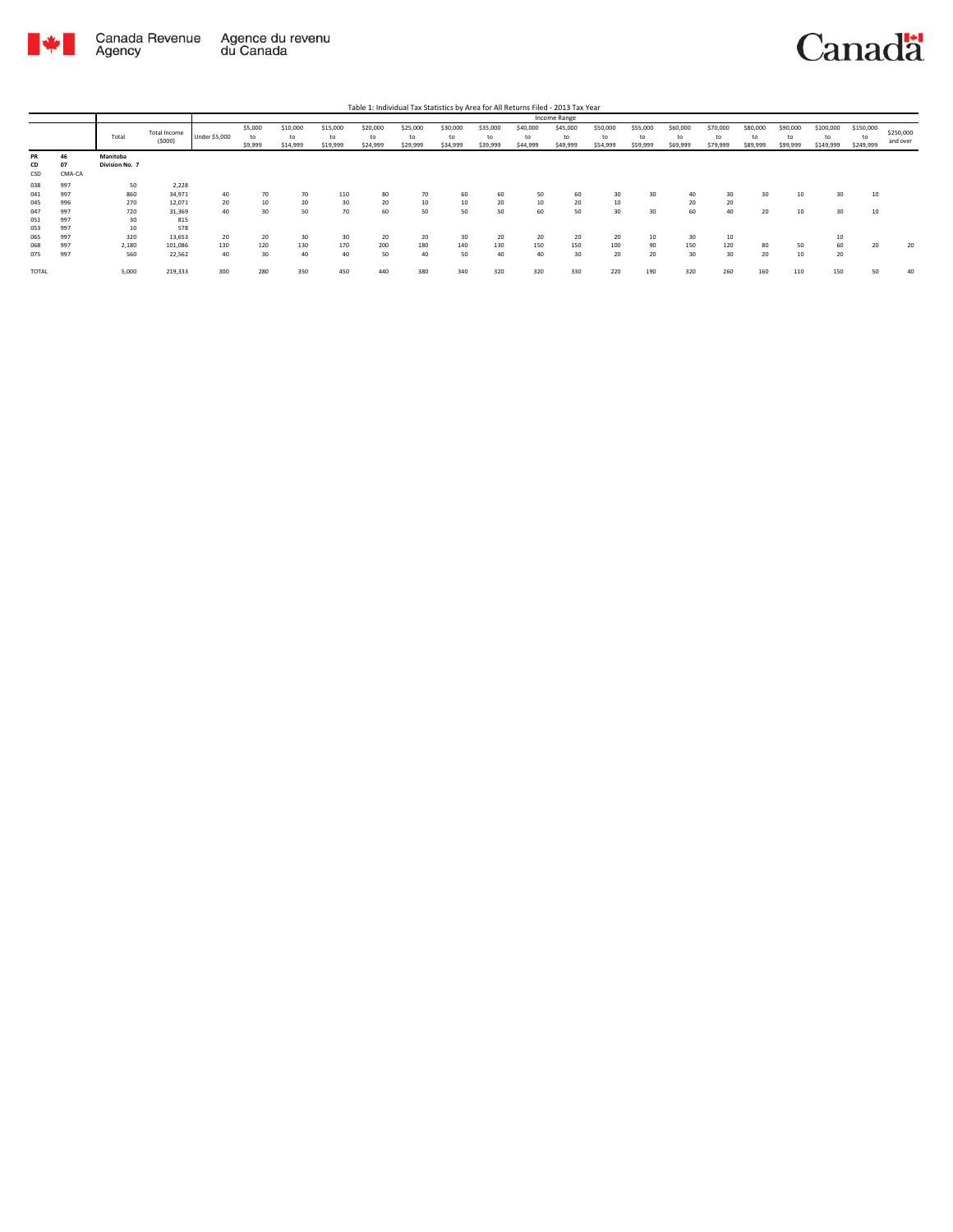

|              |        |                |                        |               |               |                |                |                |                |                |                |                | Income Range   |                |                |                |                |                |                |                 |                 |                       |
|--------------|--------|----------------|------------------------|---------------|---------------|----------------|----------------|----------------|----------------|----------------|----------------|----------------|----------------|----------------|----------------|----------------|----------------|----------------|----------------|-----------------|-----------------|-----------------------|
|              |        | Total          | Total Income<br>(5000) | Under \$5,000 | \$5,000<br>to | \$10,000<br>to | \$15,000<br>to | \$20,000<br>to | \$25,000<br>to | \$30,000<br>to | \$35,000<br>to | \$40,000<br>to | \$45,000<br>to | \$50,000<br>to | \$55,000<br>to | \$60,000<br>to | \$70,000<br>to | \$80,000<br>to | \$90,000<br>to | \$100,000<br>to | \$150,000<br>to | \$250,000<br>and over |
|              |        |                |                        |               | \$9,999       | \$14,999       | \$19,999       | \$24,999       | \$29,999       | \$34,999       | \$39,999       | \$44,999       | \$49,999       | \$54,999       | \$59,999       | \$69,999       | \$79,999       | \$89,999       | \$99,999       | \$149,999       | \$249,999       |                       |
| PR           | 46     | Manitoba       |                        |               |               |                |                |                |                |                |                |                |                |                |                |                |                |                |                |                 |                 |                       |
| CD           | 07     | Division No. 7 |                        |               |               |                |                |                |                |                |                |                |                |                |                |                |                |                |                |                 |                 |                       |
| CSD          | CMA-CA |                |                        |               |               |                |                |                |                |                |                |                |                |                |                |                |                |                |                |                 |                 |                       |
| 038          | 997    | 50             | 2,228                  |               |               |                |                |                |                |                |                |                |                |                |                |                |                |                |                |                 |                 |                       |
| 041          | 997    | 860            | 34,971                 | 40            | 70            | 70             | 110            | 80             | 70             | 60             | 60             | 50             | 60             | 30             | 30             | 40             | 30             | 30             | 10             | 30              | 10              |                       |
| 045          | 996    | 270            | 12,071                 | 20            | 10            | 20             | 30             | 20             | 10             | 10             | 20             | 10             | 20             | 10             |                | 20             | 20             |                |                |                 |                 |                       |
| 047          | 997    | 720            | 31,369                 | 40            | 30            | 50             | 70             | 60             | 50             | 50             | 50             | 60             | 50             | 30             | 30             | 60             | 40             | 20             | 10             | 30              | 10              |                       |
| 051          | 997    | 30             | 815                    |               |               |                |                |                |                |                |                |                |                |                |                |                |                |                |                |                 |                 |                       |
| 053          | 997    | 10             | 578                    |               |               |                |                |                |                |                |                |                |                |                |                |                |                |                |                |                 |                 |                       |
| 065          | 997    | 320            | 13,653                 | 20            | 20            | 30             | 30             | 20             | 20             | 30             | 20             | 20             | 20             | 20             | 10             | 30             | 10             |                |                | 10              |                 |                       |
| 068          | 997    | 2,180          | 101,086                | 130           | 120           | 130            | 170            | 200            | 180            | 140            | 130            | 150            | 150            | 100            | 90             | 150            | 120            | 80             | 50             | 60              | 20              | 20                    |
| 075          | 997    | 560            | 22,562                 | 40            | 30            | 40             | 40             | 50             | 40             | 50             | 40             | 40             | 30             | 20             | 20             | 30             | 30             | 20             | 10             | 20              |                 |                       |
| <b>TOTAL</b> |        | 5,000          | 219,333                | 300           | 280           | 350            | 450            | 440            | 380            | 340            | 320            | 320            | 330            | 220            | 190            | 320            | 260            | 160            | 110            | 150             | 50              | 40                    |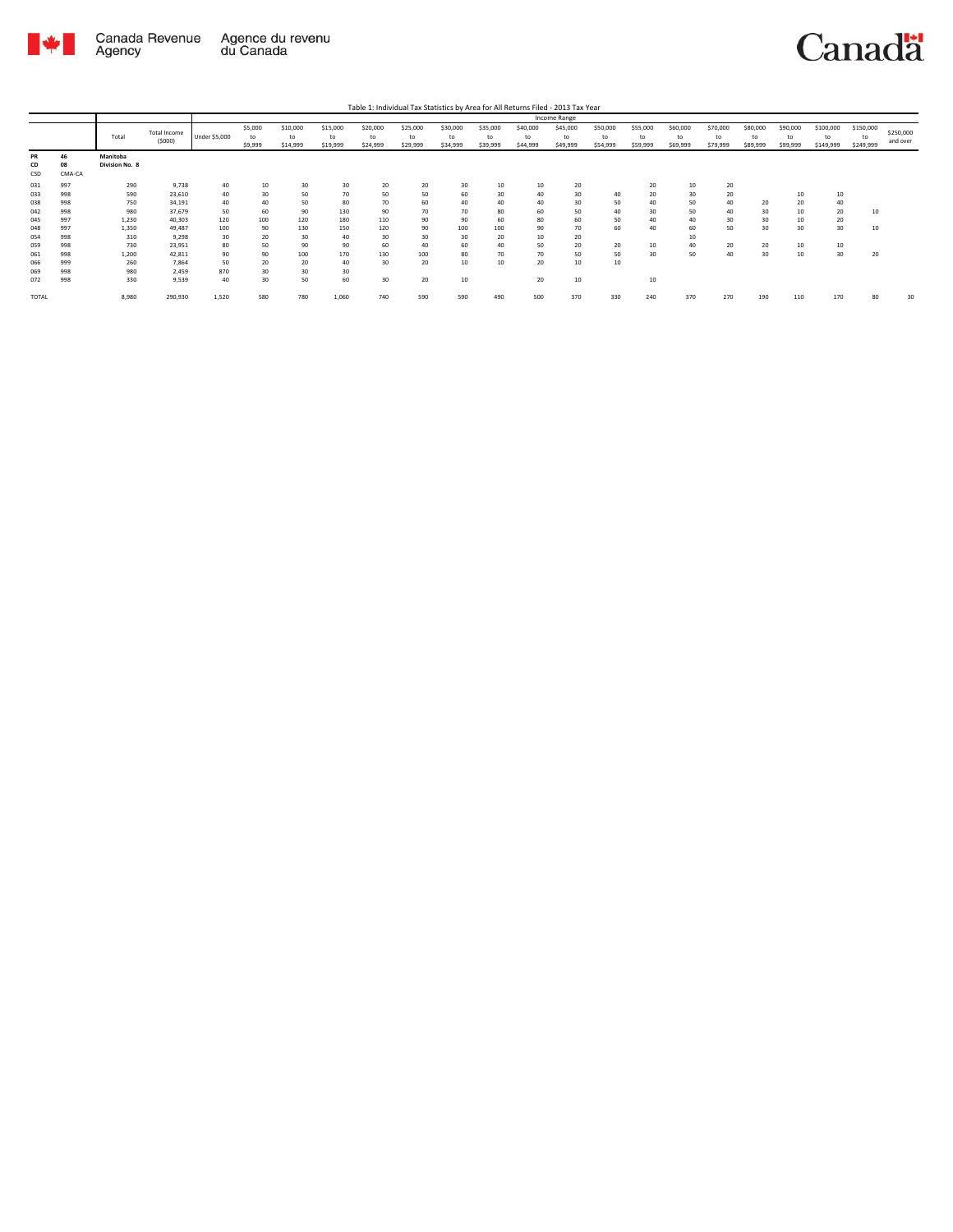

|       |        |                |                     |               |         |          |          |          |          |          |          |          | <b>Income Range</b> |          |          |          |          |          |          |           |           |           |
|-------|--------|----------------|---------------------|---------------|---------|----------|----------|----------|----------|----------|----------|----------|---------------------|----------|----------|----------|----------|----------|----------|-----------|-----------|-----------|
|       |        |                | <b>Total Income</b> |               | \$5,000 | \$10,000 | \$15,000 | \$20,000 | \$25,000 | \$30,000 | \$35,000 | \$40,000 | \$45,000            | \$50,000 | \$55,000 | \$60,000 | \$70,000 | \$80,000 | \$90,000 | \$100,000 | \$150,000 | \$250,000 |
|       |        | Total          | (5000)              | Under \$5,000 | to      | to       | to       | to       | to       | to       | to       | to       | to                  | to       | to       | to       | to       | to       | to       | to        | to        |           |
|       |        |                |                     |               | \$9,999 | \$14,999 | \$19,999 | \$24,999 | \$29,999 | \$34,999 | \$39,999 | \$44,999 | \$49,999            | \$54,999 | \$59,999 | \$69,999 | \$79,999 | \$89,999 | \$99,999 | \$149,999 | \$249,999 | and over  |
| PR    | 46     | Manitoba       |                     |               |         |          |          |          |          |          |          |          |                     |          |          |          |          |          |          |           |           |           |
| CD    | 08     | Division No. 8 |                     |               |         |          |          |          |          |          |          |          |                     |          |          |          |          |          |          |           |           |           |
| CSD   | CMA-CA |                |                     |               |         |          |          |          |          |          |          |          |                     |          |          |          |          |          |          |           |           |           |
| 031   | 997    | 290            | 9,738               | 40            | 10      | 30       | 30       | 20       | 20       | 30       | 10       | 10       | 20                  |          | 20       | 10       | 20       |          |          |           |           |           |
| 033   | 998    | 590            | 23,610              | 40            | 30      | 50       | 70       | 50       | 50       | 60       | 30       | 40       | 30                  | 40       | 20       | 30       | 20       |          | 10       | 10        |           |           |
| 038   | 998    | 750            | 34,191              | 40            | 40      | 50       | 80       | 70       | 60       | 40       | 40       | 40       | 30                  | 50       | 40       | 50       | 40       | 20       | 20       | 40        |           |           |
| 042   | 998    | 980            | 37,679              | 50            | 60      | 90       | 130      | 90       | 70       | 70       | 80       | 60       | 50                  | 40       | 30       | 50       | 40       | 30       | 10       | 20        | 10        |           |
| 045   | 997    | 1,230          | 40,303              | 120           | 100     | 120      | 180      | 110      | 90       | 90       | 60       | 80       | 60                  | 50       | 40       | 40       | 30       | 30       | 10       | 20        |           |           |
| 048   | 997    | 1,350          | 49,487              | 100           | 90      | 130      | 150      | 120      | 90       | 100      | 100      | 90       | 70                  | 60       | 40       | 60       | 50       | 30       | 30       | 30        | 10        |           |
| 054   | 998    | 310            | 9,298               | 30            | 20      | 30       | 40       | 30       | 30       | 30       | 20       | 10       | 20                  |          |          | 10       |          |          |          |           |           |           |
| 059   | 998    | 730            | 23,951              | 80            | 50      | 90       | 90       | 60       | 40       | 60       | 40       | 50       | 20                  | 20       | 10       | 40       | 20       | 20       | 10       | 10        |           |           |
| 061   | 998    | 1,200          | 42,811              | 90            | 90      | 100      | 170      | 130      | 100      | 80       | 70       | 70       | 50                  | 50       | 30       | 50       | 40       | 30       | 10       | 30        | 20        |           |
| 066   | 999    | 260            | 7.864               | 50            | 20      | 20       | 40       | 30       | 20       | 10       | 10       | 20       | 10                  | 10       |          |          |          |          |          |           |           |           |
| 069   | 998    | 980            | 2.459               | 870           | 30      | 30       | 30       |          |          |          |          |          |                     |          |          |          |          |          |          |           |           |           |
| 072   | 998    | 330            | 9,539               | 40            | 30      | 50       | 60       | 30       | 20       | 10       |          | 20       | 10                  |          | 10       |          |          |          |          |           |           |           |
|       |        |                |                     |               |         |          |          |          |          |          |          |          |                     |          |          |          |          |          |          |           |           |           |
| TOTAL |        | 8,980          | 290,930             | 1,520         | 580     | 780      | 1,060    | 740      | 590      | 590      | 490      | 500      | 370                 | 330      | 240      | 370      | 270      | 190      | 110      | 170       | 80        | 30        |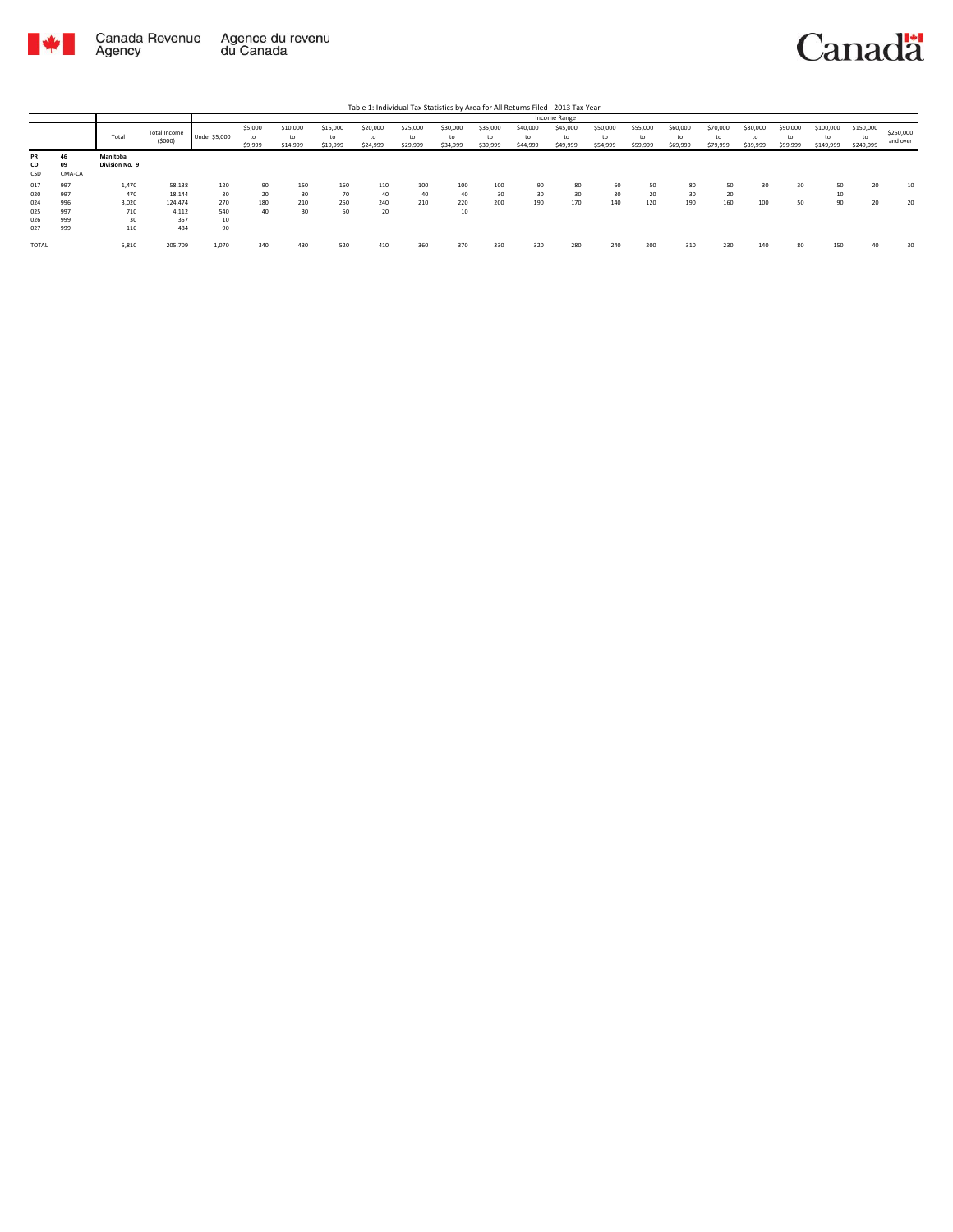

|                        |              |                            |                        |               |                          |                            |                            |                            |                            |                            |                            |                            | Income Range               |                            |                            |                            |                            |                            |                            |                              |                              |                       |
|------------------------|--------------|----------------------------|------------------------|---------------|--------------------------|----------------------------|----------------------------|----------------------------|----------------------------|----------------------------|----------------------------|----------------------------|----------------------------|----------------------------|----------------------------|----------------------------|----------------------------|----------------------------|----------------------------|------------------------------|------------------------------|-----------------------|
|                        |              | Total                      | Total Income<br>(5000) | Under \$5,000 | \$5,000<br>to<br>\$9,999 | \$10,000<br>to<br>\$14,999 | \$15,000<br>to<br>\$19,999 | \$20,000<br>to<br>\$24,999 | \$25,000<br>to<br>\$29,999 | \$30,000<br>to<br>\$34,999 | \$35,000<br>to<br>\$39,999 | \$40,000<br>to<br>\$44,999 | \$45,000<br>to<br>\$49,999 | \$50,000<br>to<br>\$54,999 | \$55,000<br>to<br>\$59,999 | \$60,000<br>to<br>\$69,999 | \$70,000<br>to<br>\$79,999 | \$80,000<br>to<br>\$89,999 | \$90,000<br>to<br>\$99,999 | \$100,000<br>to<br>\$149,999 | \$150,000<br>to<br>\$249,999 | \$250,000<br>and over |
| <b>PR</b><br>CD<br>CSD | 09<br>CMA-CA | Manitoba<br>Division No. 9 |                        |               |                          |                            |                            |                            |                            |                            |                            |                            |                            |                            |                            |                            |                            |                            |                            |                              |                              |                       |
| 017                    | 997          | 1,470                      | 58,138                 | 120           | 90                       | 150                        | 160                        | 110                        | 100                        | 100                        | 100                        | 90                         | 80                         | 60                         | 50                         | 80                         | 50                         | 30                         | 30                         | 50                           | 20                           | 10                    |
| 020                    | 997          | 470                        | 18,144                 | 30            | 20                       | 30                         | 70                         | 40                         | 40                         | 40                         | 30                         | 30                         | 30                         | 30                         | 20                         | 30                         | 20                         |                            |                            | 10                           |                              |                       |
| 024                    | 996          | 3,020                      | 124,474                | 270           | 180                      | 210                        | 250                        | 240                        | 210                        | 220                        | 200                        | 190                        | 170                        | 140                        | 120                        | 190                        | 160                        | 100                        | 50                         | 90                           | $\sim$                       | 20                    |
| 025                    | 997          | 710                        | 4,112                  | 540           | 40                       | 30                         | 50                         | 20                         |                            | 10                         |                            |                            |                            |                            |                            |                            |                            |                            |                            |                              |                              |                       |
| 026                    | 999          | 30                         | 357                    | $10$          |                          |                            |                            |                            |                            |                            |                            |                            |                            |                            |                            |                            |                            |                            |                            |                              |                              |                       |
| 027                    | 999          | 110                        | 484                    | 90            |                          |                            |                            |                            |                            |                            |                            |                            |                            |                            |                            |                            |                            |                            |                            |                              |                              |                       |
| TOTAL                  |              | 5,810                      | 205,709                | 1,070         | 340                      |                            | 520                        | 410                        | 360                        | 370                        | 330                        | 320                        | 280                        | 240                        | 200                        | 310                        | 230                        | 140                        | 80                         | 150                          |                              | 30                    |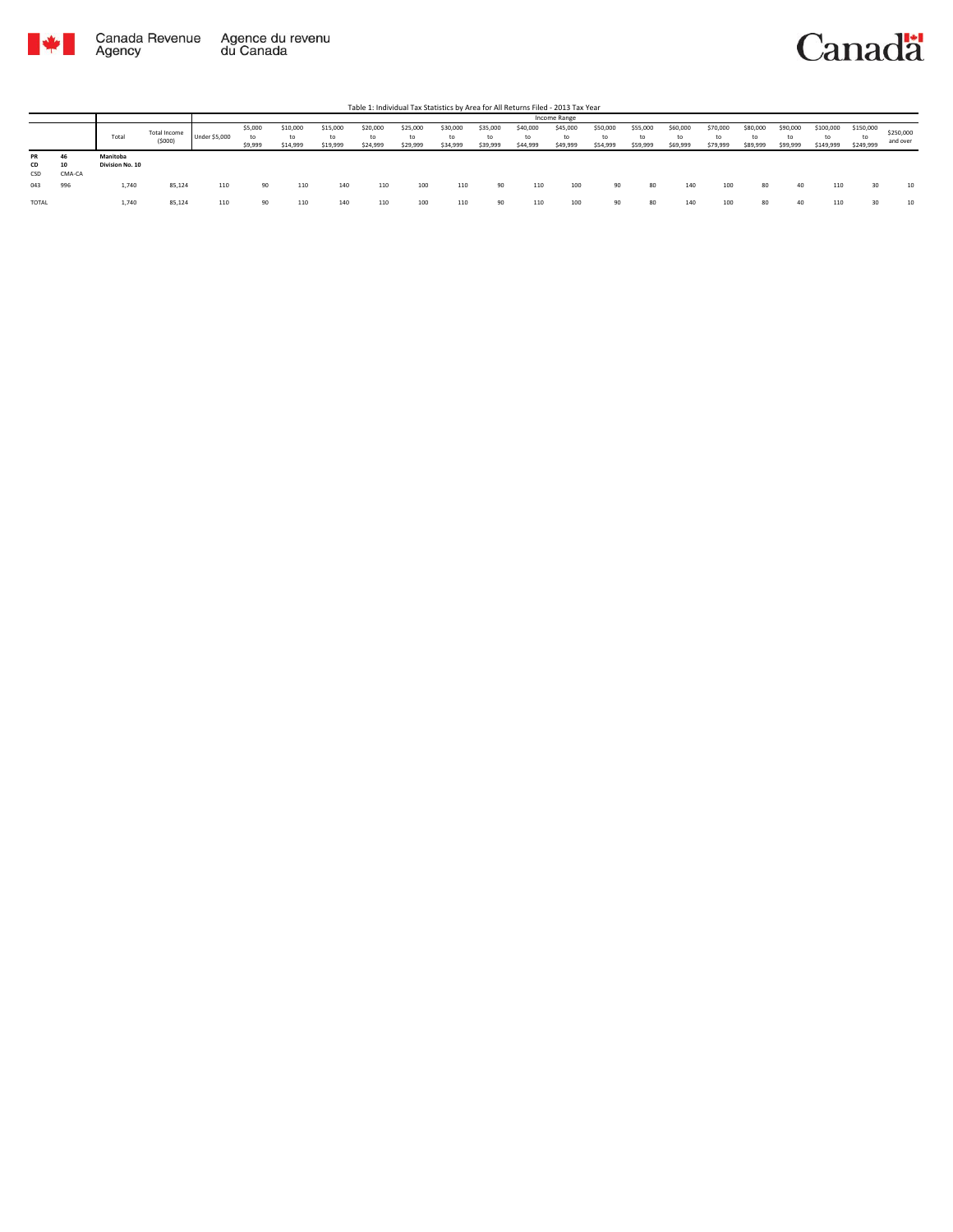

|                 |                    |                             |                        |                      |                          |                      |                      |                            |                            |                            |                            |                            | Income Range               |                            |                            |                            |                            |                            |                            |                              |                              |                       |
|-----------------|--------------------|-----------------------------|------------------------|----------------------|--------------------------|----------------------|----------------------|----------------------------|----------------------------|----------------------------|----------------------------|----------------------------|----------------------------|----------------------------|----------------------------|----------------------------|----------------------------|----------------------------|----------------------------|------------------------------|------------------------------|-----------------------|
|                 |                    | Total                       | Total Income<br>(5000) | <b>Under \$5,000</b> | \$5,000<br>to<br>\$9,999 | \$10,000<br>\$14,999 | \$15,000<br>\$19,999 | \$20,000<br>to<br>\$24,999 | \$25,000<br>to<br>\$29,999 | \$30,000<br>to<br>\$34,999 | \$35,000<br>to<br>\$39,999 | \$40,000<br>to<br>\$44,999 | \$45,000<br>to<br>\$49,999 | \$50,000<br>to<br>\$54,999 | \$55,000<br>to<br>\$59,999 | \$60,000<br>to<br>\$69,999 | \$70,000<br>to<br>\$79,999 | \$80,000<br>to<br>\$89,999 | \$90,000<br>to<br>\$99,999 | \$100,000<br>to<br>\$149,999 | \$150,000<br>to<br>\$249,999 | \$250,000<br>and over |
| PR<br>CD<br>CSD | 46<br>10<br>CMA-CA | Manitoba<br>Division No. 10 |                        |                      |                          |                      |                      |                            |                            |                            |                            |                            |                            |                            |                            |                            |                            |                            |                            |                              |                              |                       |
| 043             | 996                | 1.740                       | 85,124                 | 110                  | 90                       | 110                  | 140                  | 110                        | 100                        | 110                        | 90                         | 110                        | 100                        | 90                         | 80                         | 140                        | 100                        | 80                         | 40                         | 110                          | 30                           | 10                    |
| TOTAL           |                    | 1,740                       | 85,124                 | 110                  | 90                       | 110                  | 140                  |                            | 100                        | 110                        |                            |                            | 100                        | 90                         | 80                         | 140                        | 100                        | 80                         | 40                         | 110                          | 30                           | 10                    |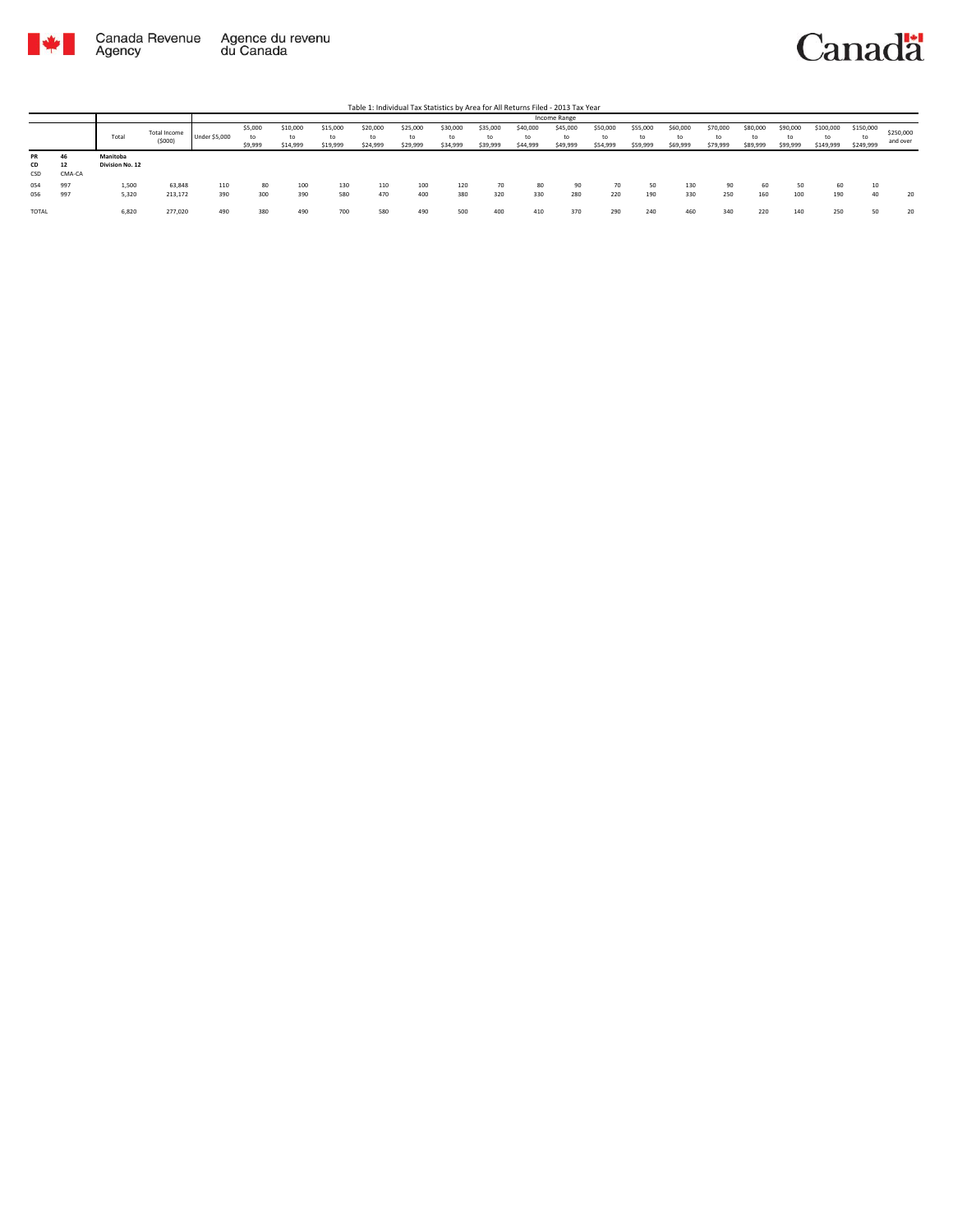

|                 |             |                             |                        |               |                          |                            |                            |                            |                            |                            |                            |                            | Income Range         |                            |                            |                            |                            |                            |                            |                              |                        |                       |
|-----------------|-------------|-----------------------------|------------------------|---------------|--------------------------|----------------------------|----------------------------|----------------------------|----------------------------|----------------------------|----------------------------|----------------------------|----------------------|----------------------------|----------------------------|----------------------------|----------------------------|----------------------------|----------------------------|------------------------------|------------------------|-----------------------|
|                 |             | Total                       | Total Income<br>(5000) | Under \$5,000 | \$5,000<br>to<br>\$9,999 | \$10,000<br>to<br>\$14,999 | \$15,000<br>tΩ<br>\$19,999 | \$20,000<br>to<br>\$24,999 | \$25,000<br>to<br>\$29,999 | \$30,000<br>to<br>\$34,999 | \$35,000<br>to<br>\$39,999 | \$40,000<br>to<br>\$44,999 | \$45,000<br>\$49,999 | \$50,000<br>to<br>\$54,999 | \$55,000<br>to<br>\$59,999 | \$60,000<br>to<br>\$69,999 | \$70,000<br>to<br>\$79,999 | \$80,000<br>to<br>\$89,999 | \$90,000<br>to<br>\$99,999 | \$100,000<br>to<br>\$149,999 | \$150,000<br>\$249,999 | \$250,000<br>and over |
| PR<br>CD<br>CSD | -<br>CMA-CA | Manitoba<br>Division No. 12 |                        |               |                          |                            |                            |                            |                            |                            |                            |                            |                      |                            |                            |                            |                            |                            |                            |                              |                        |                       |
| 054<br>056      | 997<br>997  | 1,500<br>5,320              | 63,848<br>213,172      | 110<br>390    | 80<br>300                | 100<br>390                 | 130<br>580                 | 110<br>470                 | 100<br>400                 | 120<br>380                 | 70<br>320                  | 80<br>330                  | 90<br>280            | 220                        | 50<br>190                  | 130<br>330                 | 90<br>250                  | 60<br>160                  | 50<br>100                  | 60<br>190                    | 40                     | 20                    |
| TOTAL           |             | 6,820                       | 277,020                | 490           | 380                      | 490                        | 700                        | 580                        | 490                        | 500                        | 400                        | 410                        | 370                  | 290                        | 240                        | 460                        | 340                        | 220                        | 140                        | 250                          | 50                     | 20                    |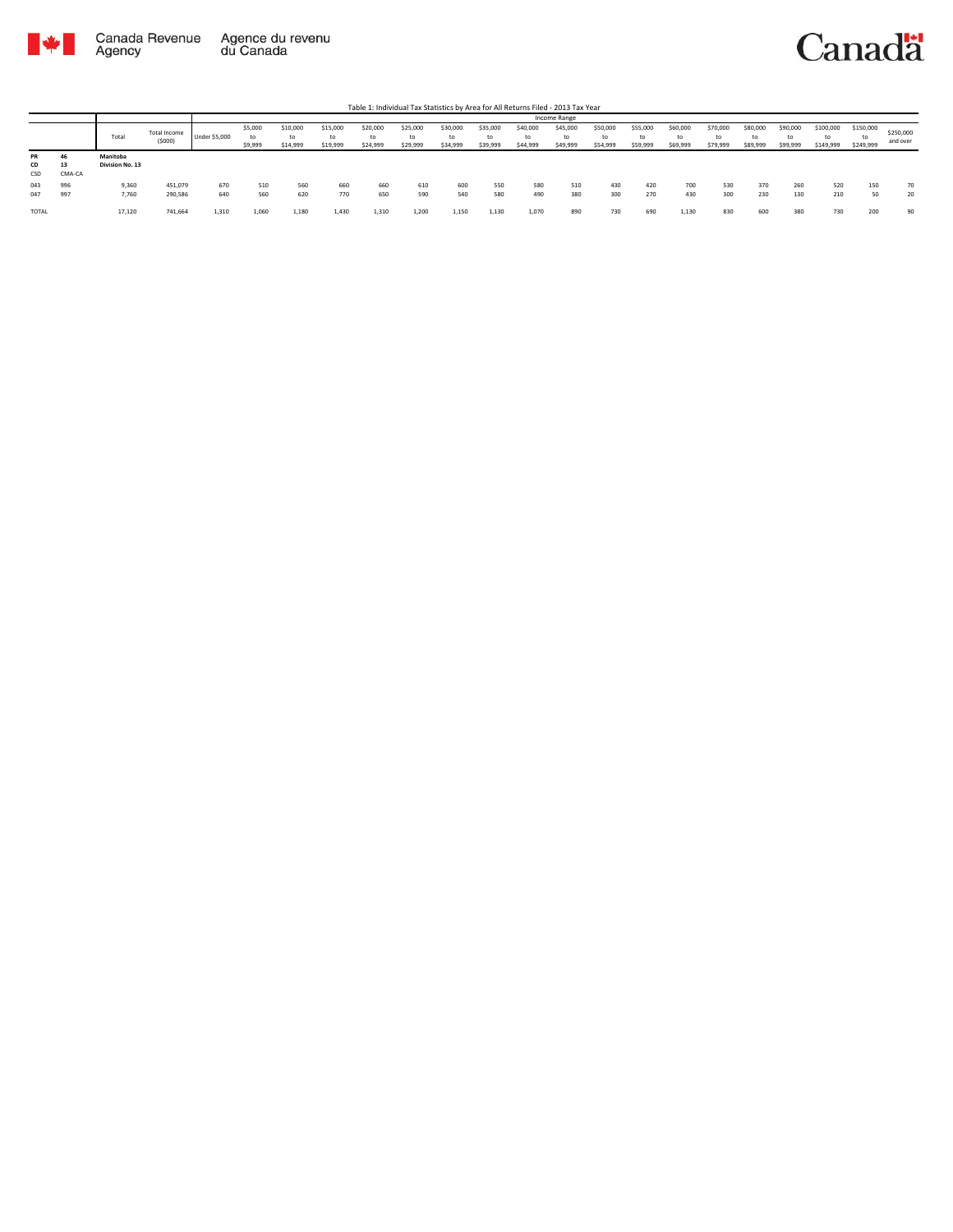

|                        |              |                             |                        |                      |                    |                            |                            |                            |                            |                            |                            |                            | Income Range               |                            |                            |                            |                            |                            |                            |                              |                              |                       |
|------------------------|--------------|-----------------------------|------------------------|----------------------|--------------------|----------------------------|----------------------------|----------------------------|----------------------------|----------------------------|----------------------------|----------------------------|----------------------------|----------------------------|----------------------------|----------------------------|----------------------------|----------------------------|----------------------------|------------------------------|------------------------------|-----------------------|
|                        |              | Total                       | Total Income<br>(5000) | <b>Under \$5,000</b> | \$5,000<br>\$9,999 | \$10,000<br>to<br>\$14,999 | \$15,000<br>to<br>\$19,999 | \$20,000<br>to<br>\$24,999 | \$25,000<br>to<br>\$29,999 | \$30,000<br>to<br>\$34,999 | \$35,000<br>to<br>\$39,999 | \$40,000<br>to<br>\$44,999 | \$45,000<br>to<br>\$49,999 | \$50,000<br>to<br>\$54,999 | \$55,000<br>to<br>\$59,999 | \$60,000<br>to<br>\$69,999 | \$70,000<br>to<br>\$79,999 | \$80,000<br>to<br>\$89,999 | \$90,000<br>to<br>\$99,999 | \$100,000<br>to<br>\$149,999 | \$150,000<br>te<br>\$249,999 | \$250,000<br>and over |
| PR<br><b>CD</b><br>CSD | 13<br>CMA-CA | Manitoba<br>Division No. 13 |                        |                      |                    |                            |                            |                            |                            |                            |                            |                            |                            |                            |                            |                            |                            |                            |                            |                              |                              |                       |
| 043<br>047             | 997          | 9,360<br>7,760              | 451,079<br>290,586     | 670<br>640           | 510<br>560         | 560<br>620                 | 660<br>770                 | 660<br>650                 | 610<br>590                 | 600<br>540                 | 550<br>580                 | 580<br>490                 | 510<br>380                 | 430<br>300                 | 420<br>270                 | 700<br>430                 | 530<br>300                 | 370<br>230                 | 260<br>130                 | 520<br>210                   | 150<br>50                    | 70<br>20              |
| <b>TOTAL</b>           |              | 17,120                      | 741,664                | 1,310                | 1.060              | 1,180                      | 1,430                      | 1,310                      | 1,200                      | 1,150                      | 1.130                      | 1,070                      | 890                        | 730                        | 690                        | 1,130                      | 830                        | 600                        | 380                        | 730                          | 200                          | 90                    |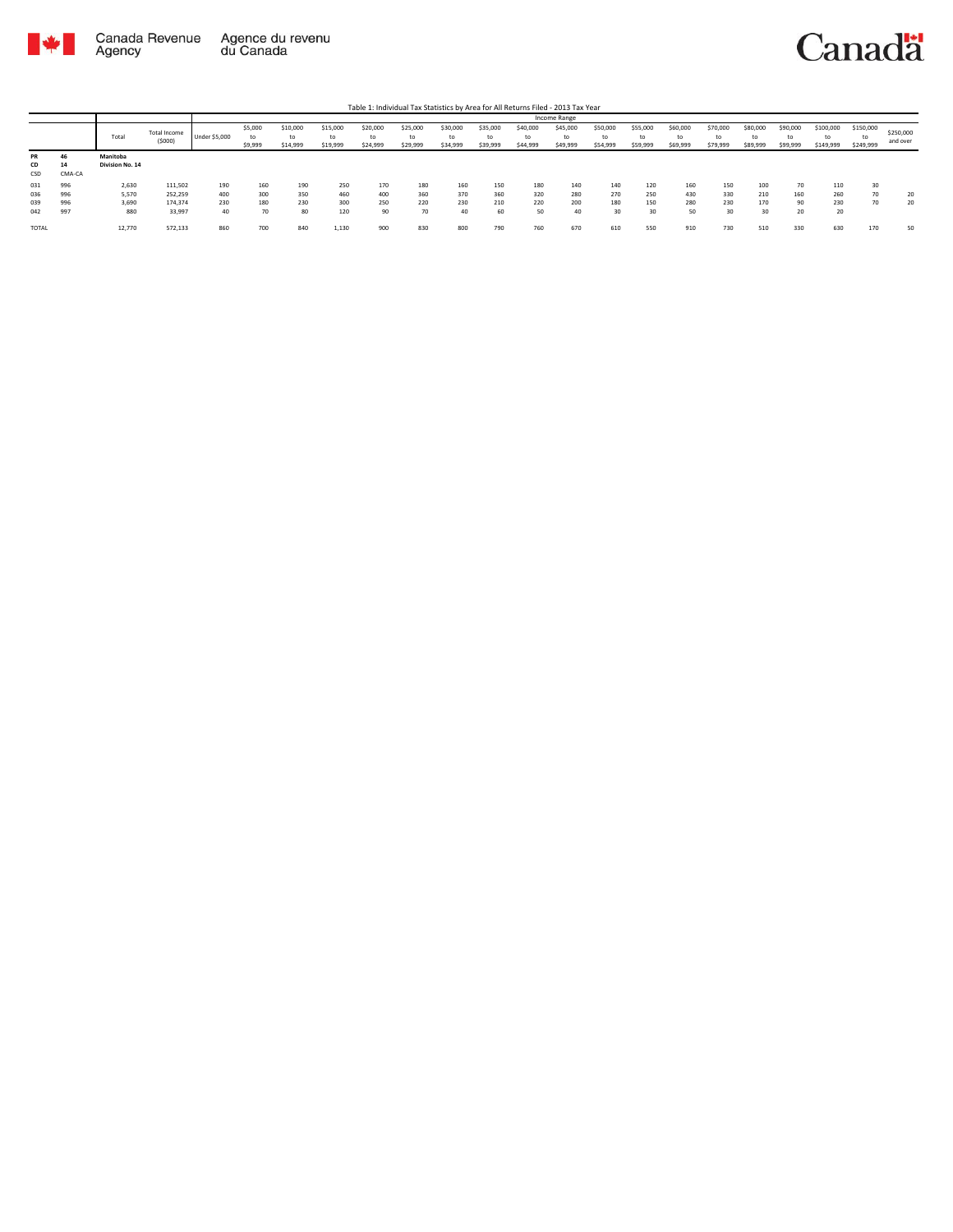

|       |        |                 |              |                      |         |          |          |          |          |          |          |          | <b>Income Range</b> |          |          |          |          |          |          |           |                          |           |
|-------|--------|-----------------|--------------|----------------------|---------|----------|----------|----------|----------|----------|----------|----------|---------------------|----------|----------|----------|----------|----------|----------|-----------|--------------------------|-----------|
|       |        |                 | Total Income |                      | \$5,000 | \$10,000 | \$15,000 | \$20,000 | \$25,000 | \$30,000 | \$35,000 | \$40,000 | \$45,000            | \$50,000 | \$55,000 | \$60,000 | \$70,000 | \$80,000 | \$90,000 | \$100,000 | \$150,000                | \$250,000 |
|       |        | Total           | (5000)       | <b>Under \$5,000</b> | to      | to       | to       | to       | to       | to       | to       | to       |                     | to       | to       | to       | to       | to       | to       | to        | tc                       | and over  |
|       |        |                 |              |                      | \$9,999 | \$14,999 | \$19,999 | \$24,999 | \$29,999 | \$34,999 | \$39,999 | \$44,999 | \$49,999            | \$54,999 | \$59,999 | \$69,999 | \$79,999 | \$89,999 | \$99,999 | \$149,999 | \$249,999                |           |
| PR    |        | Manitoba        |              |                      |         |          |          |          |          |          |          |          |                     |          |          |          |          |          |          |           |                          |           |
| CD    | 14     | Division No. 14 |              |                      |         |          |          |          |          |          |          |          |                     |          |          |          |          |          |          |           |                          |           |
| CSD   | CMA-CA |                 |              |                      |         |          |          |          |          |          |          |          |                     |          |          |          |          |          |          |           |                          |           |
| 031   | 996    | 2,630           | 111,502      | 190                  | 160     | 190      | 250      | 170      | 180      | 160      | 150      | 180      | 140                 | 140      | 120      | 160      | 150      | 100      | 70       | 110       | 30                       |           |
| 036   | 996    | 5,570           | 252,259      | 400                  | 300     | 350      | 460      | 400      | 360      | 370      | 360      | 320      | 280                 | 270      | 250      | 430      | 330      | 210      | 160      | 260       | $\overline{\phantom{a}}$ | 20        |
| 039   | 996    | 3,690           | 174,374      | 230                  | 180     | 230      | 300      | 250      | 220      | 230      | 210      | 220      | 200                 | 180      | 150      | 280      | 230      | 170      | 90       | 230       | 70                       | 20        |
| 042   | 997    | 880             | 33,997       | 40                   | 70      | 80       | 120      | 90       | 70       | 40       | 60       | 50       | 40                  | 30       | 30       | 50       | 30       | 30       | 20       | 20        |                          |           |
| TOTAL |        | 12,770          | 572,133      | 860                  | 700     | 840      | 1,130    | 900      | 830      | 800      | 790      | 760      | 670                 | 610      | 550      | 910      | 730      | 510      | 330      | 630       | 170                      | 50        |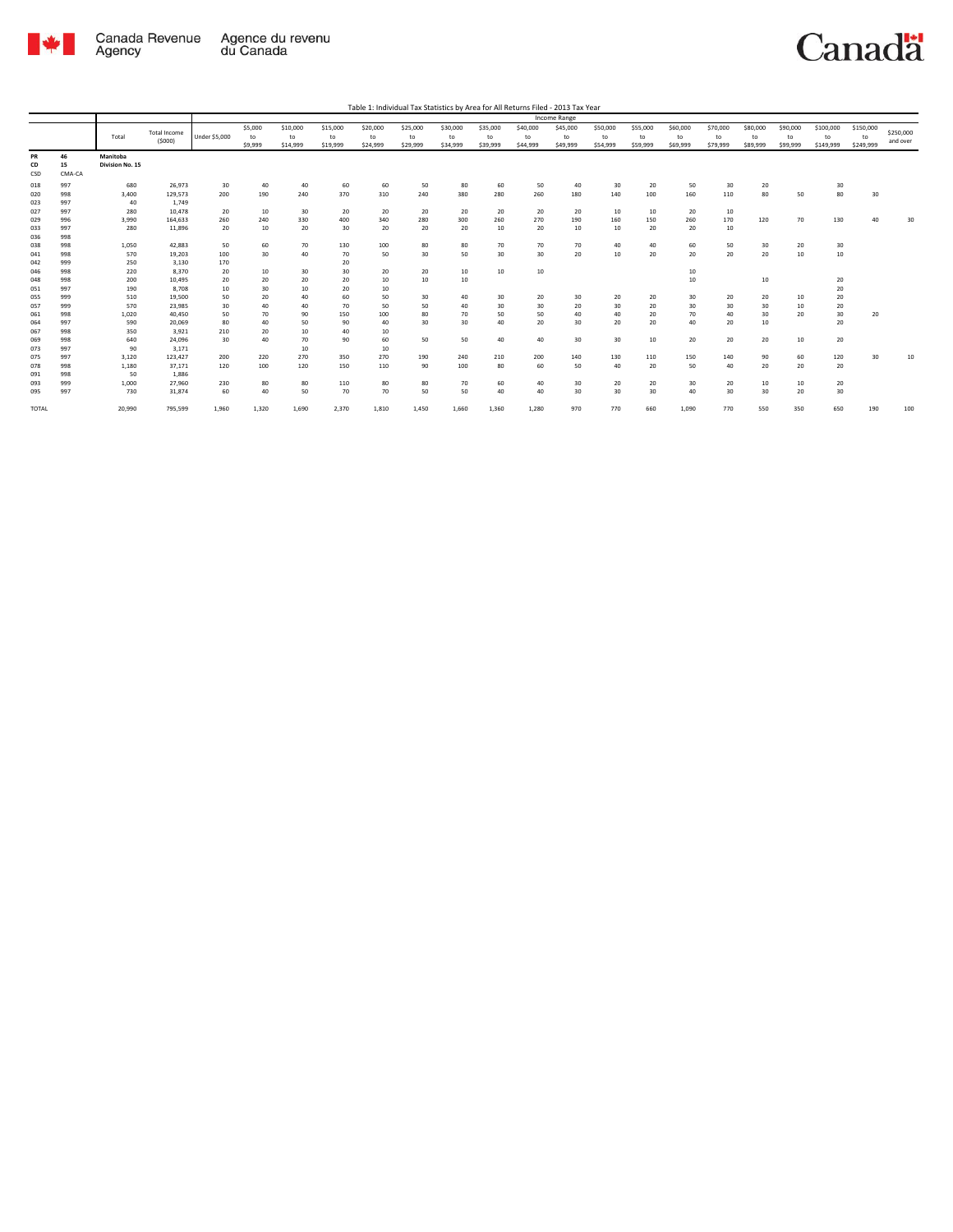

| Table 1: Individual Tax Statistics by Area for All Returns Filed - 2013 Tax Year |  |  |  |
|----------------------------------------------------------------------------------|--|--|--|
|                                                                                  |  |  |  |

|              |              |                 |                     |                      |            |          |           |          |          |          |          |           | Income Range |           |           |           |          |          |          |           |           |           |
|--------------|--------------|-----------------|---------------------|----------------------|------------|----------|-----------|----------|----------|----------|----------|-----------|--------------|-----------|-----------|-----------|----------|----------|----------|-----------|-----------|-----------|
|              |              |                 | <b>Total Income</b> |                      | \$5,000    | \$10,000 | \$15,000  | \$20,000 | \$25,000 | \$30,000 | \$35,000 | \$40,000  | \$45,000     | \$50,000  | \$55,000  | \$60,000  | \$70,000 | \$80,000 | \$90,000 | \$100,000 | \$150,000 | \$250,000 |
|              |              | Total           | (5000)              | <b>Under \$5,000</b> | to         | to       | to        | to       | to       | to       | to       | to        | to           | to        | to        | to        | to       | to       | to       | to        | to        | and over  |
|              |              |                 |                     |                      | \$9,999    | \$14,999 | \$19,999  | \$24,999 | \$29,999 | \$34,999 | \$39,999 | \$44,999  | \$49,999     | \$54,999  | \$59,999  | \$69,999  | \$79,999 | \$89,999 | \$99,999 | \$149,999 | \$249,999 |           |
| PR           | 46           | Manitoba        |                     |                      |            |          |           |          |          |          |          |           |              |           |           |           |          |          |          |           |           |           |
| CD<br>CSD    | 15<br>CMA-CA | Division No. 15 |                     |                      |            |          |           |          |          |          |          |           |              |           |           |           |          |          |          |           |           |           |
| 018          | 997          | 680             | 26,973              | 30                   | 40         | 40       | 60        | 60       | 50       | 80       | 60       | 50        | 40           | 30        | 20        | 50        | 30       | 20       |          | 30        |           |           |
| 020          | 998          | 3,400           | 129,573             | 200                  | 190        | 240      | 370       | 310      | 240      | 380      | 280      | 260       | 180          | 140       | 100       | 160       | 110      | 80       | 50       | 80        | 30        |           |
| 023          | 997          | 40              | 1,749               |                      |            |          |           |          |          |          |          |           |              |           |           |           |          |          |          |           |           |           |
| 027          | 997          | 280             | 10,478              | 20                   | 10         | 30       | 20        | 20       | 20       | 20       | 20       | 20        | 20           | 10        | 10        | 20        | 10       |          |          |           |           |           |
| 029          | 996          | 3,990           | 164,633             | 260                  | 240        | 330      | 400       | 340      | 280      | 300      | 260      | 270       | 190          | 160       | 150       | 260       | 170      | 120      | 70       | 130       | 40        | 30        |
| 033          | 997          | 280             | 11,896              | 20                   | 10         | 20       | 30        | 20       | 20       | 20       | 10       | 20        | 10           | 10        | 20        | 20        | 10       |          |          |           |           |           |
| 036          | 998          |                 |                     |                      |            |          |           |          |          |          |          |           |              |           |           |           |          |          |          |           |           |           |
| 038          | 998          | 1,050           | 42.883              | 50                   | 60         | 70       | 130       | 100      | 80       | 80       | 70       | 70        | 70           | 40        | 40        | 60        | 50       | 30       | 20       | 30        |           |           |
| 041          | 998          | 570             | 19,203              | 100                  | 30         | 40       | 70        | 50       | 30       | 50       | 30       | 30        | 20           | 10        | 20        | 20        | 20       | 20       | 10       | 10        |           |           |
| 042          | 999          | 250             | 3.130               | 170                  |            |          | 20        |          |          |          |          |           |              |           |           |           |          |          |          |           |           |           |
| 046          | 998          | 220             | 8.370               | 20                   | 10         | 30       | 30        | 20       | 20       | 10       | 10       | 10        |              |           |           | 10        |          |          |          |           |           |           |
| 048          | 998          | 200             | 10.495              | 20                   | 20         | 20       | 20        | 10       | 10       | 10       |          |           |              |           |           | 10        |          | 10       |          | 20        |           |           |
| 051          | 997          | 190             | 8,708               | 10                   | 30         | 10       | 20        | 10       |          |          |          |           |              |           |           |           |          |          |          | 20        |           |           |
| 055          | 999          | 510             | 19,500              | 50                   | 20         | 40       | 60        | 50       | 30       | 40       | 30       | 20        | 30           | 20        | 20        | 30        | 20       | 20       | 10       | 20        |           |           |
| 057          | 999          | 570             | 23,985              | 30                   | 40         | 40       | 70        | 50       | 50       | 40       | 30       | 30        | 20           | 30        | 20        | 30        | 30       | 30       | 10       | 20        |           |           |
| 061          | 998          | 1,020           | 40.450              | 50                   | 70         | 90       | 150       | 100      | 80       | 70       | 50       | 50        | 40           | 40        | 20        | 70        | 40       | 30       | 20       | 30        | 20        |           |
| 064          | 997          | 590             | 20,069              | 80                   | 40         | 50       | 90        | 40       | 30       | 30       | 40       | 20        | 30           | 20        | 20        | 40        | 20       | 10       |          | 20        |           |           |
| 067          | 998          | 350             | 3,921               | 210                  | 20         | 10       | 40        | 10       |          |          |          |           |              |           |           |           |          |          |          |           |           |           |
| 069          | 998          | 640             | 24,096              | 30                   | 40         | 70       | 90        | 60       | 50       | 50       | 40       | 40        | 30           | 30        | 10        | 20        | 20       | 20       | 10       | 20        |           |           |
| 073          | 997          | 90              | 3,171               |                      |            | 10       |           | 10       |          |          |          |           |              |           |           |           |          |          |          |           |           |           |
| 075          | 997          | 3,120           | 123,427             | 200<br>120           | 220<br>100 | 270      | 350       | 270      | 190      | 240      | 210      | 200<br>60 | 140<br>50    | 130<br>40 | 110<br>20 | 150<br>50 | 140      | 90<br>20 | 60<br>20 | 120       | 30        | 10        |
| 078          | 998          | 1,180           | 37,171<br>1.886     |                      |            | 120      | 150       | 110      | 90       | 100      | 80       |           |              |           |           |           | 40       |          |          | 20        |           |           |
| 091          | 998          | 50              |                     |                      |            |          |           |          |          |          |          |           |              |           |           |           |          |          |          |           |           |           |
| 093          | 999<br>997   | 1,000           | 27,960<br>31,874    | 230<br>60            | 80<br>40   | 80<br>50 | 110<br>70 | 80<br>70 | 80<br>50 | 70<br>50 | 60<br>40 | 40<br>40  | 30<br>30     | 20<br>30  | 20<br>30  | 30<br>40  | 20<br>30 | 10<br>30 | 10<br>20 | 20<br>30  |           |           |
| 095          |              | 730             |                     |                      |            |          |           |          |          |          |          |           |              |           |           |           |          |          |          |           |           |           |
| <b>TOTAL</b> |              | 20,990          | 795,599             | 1,960                | 1,320      | 1,690    | 2,370     | 1,810    | 1,450    | 1,660    | 1,360    | 1,280     | 970          | 770       | 660       | 1,090     | 770      | 550      | 350      | 650       | 190       | 100       |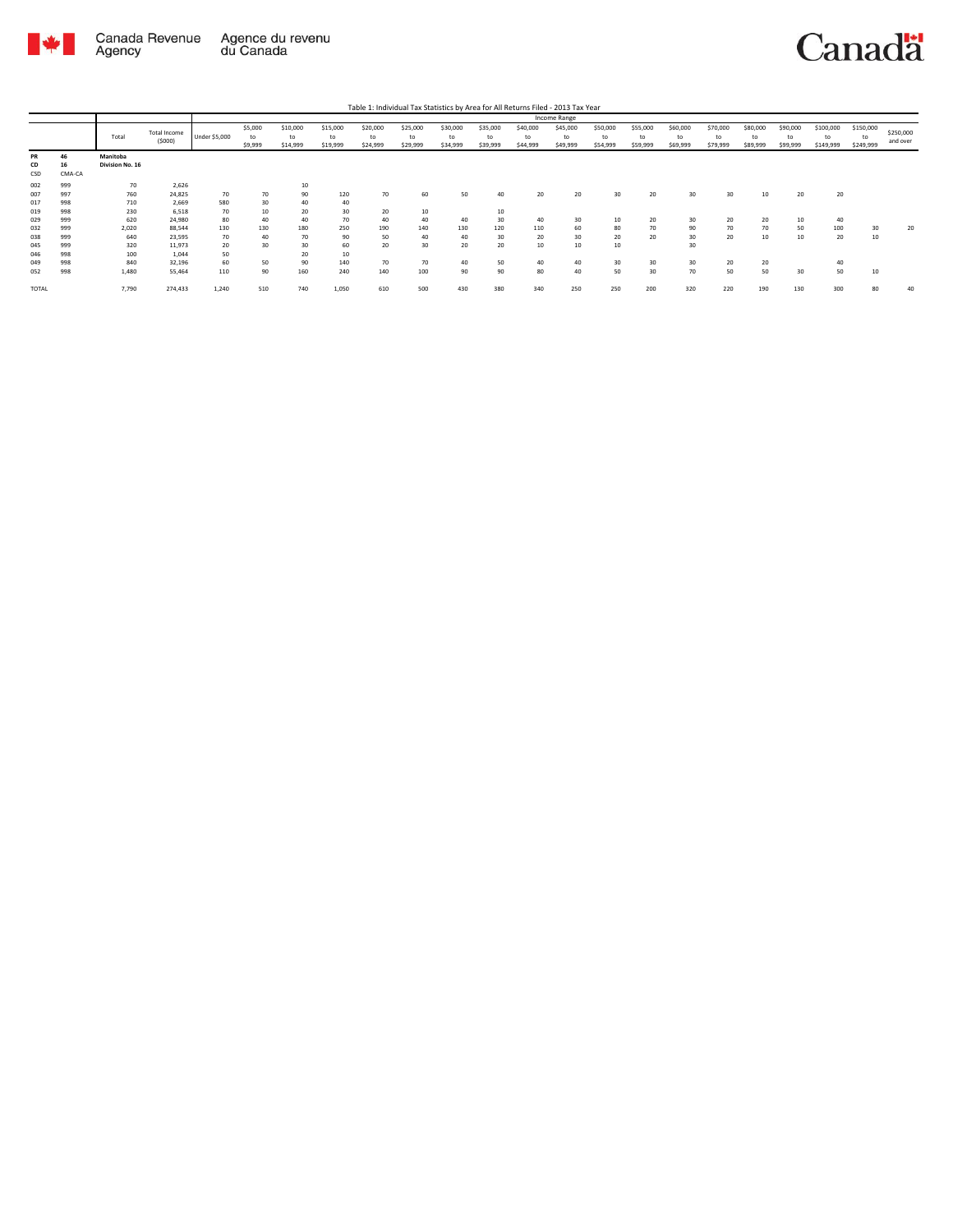

|                        |                    |                             |                               |               |                          |                            |                            |                            |                            |                            |                            |                            | Income Range               |                            |                            |                            |                            |                            |                            |                              |                              |                       |
|------------------------|--------------------|-----------------------------|-------------------------------|---------------|--------------------------|----------------------------|----------------------------|----------------------------|----------------------------|----------------------------|----------------------------|----------------------------|----------------------------|----------------------------|----------------------------|----------------------------|----------------------------|----------------------------|----------------------------|------------------------------|------------------------------|-----------------------|
|                        |                    | Total                       | <b>Total Income</b><br>(5000) | Under \$5,000 | \$5,000<br>to<br>\$9,999 | \$10,000<br>to<br>\$14,999 | \$15,000<br>to<br>\$19,999 | \$20,000<br>to<br>\$24,999 | \$25,000<br>to<br>\$29,999 | \$30,000<br>to<br>\$34,999 | \$35,000<br>to<br>\$39,999 | \$40,000<br>to<br>\$44,999 | \$45,000<br>to<br>\$49,999 | \$50,000<br>to<br>\$54,999 | \$55,000<br>to<br>\$59,999 | \$60,000<br>to<br>\$69,999 | \$70,000<br>to<br>\$79,999 | \$80,000<br>to<br>\$89,999 | \$90,000<br>to<br>\$99,999 | \$100,000<br>to<br>\$149,999 | \$150,000<br>to<br>\$249,999 | \$250,000<br>and over |
| <b>PR</b><br>CD<br>CSD | 46<br>16<br>CMA-CA | Manitoba<br>Division No. 16 |                               |               |                          |                            |                            |                            |                            |                            |                            |                            |                            |                            |                            |                            |                            |                            |                            |                              |                              |                       |
| 002                    | 999                | 70                          | 2,626                         |               |                          | 10                         |                            |                            |                            |                            |                            |                            |                            |                            |                            |                            |                            |                            |                            |                              |                              |                       |
| 007                    | 997                | 760                         | 24,825                        | 70            | 70                       | 90                         | 120                        | 70                         | 60                         | 50                         | 40                         | 20                         | 20                         | 30                         | 20                         | 30                         | 30                         | 10                         | 20                         | 20                           |                              |                       |
| 017                    | 998                | 710                         | 2,669                         | 580           | 30                       | 40                         | 40                         |                            |                            |                            |                            |                            |                            |                            |                            |                            |                            |                            |                            |                              |                              |                       |
| 019                    | 998                | 230                         | 6,518                         | 70            | 10                       | 20                         | 30                         | 20                         | 10                         |                            | 10                         |                            |                            |                            |                            |                            |                            |                            |                            |                              |                              |                       |
| 029                    | 999                | 620                         | 24,980                        | 80            | 40                       | 40                         | 70                         | 40                         | 40                         | 40                         | 30                         | 40                         | 30                         | 10                         | 20                         | 30                         | 20                         | 20                         | 10                         | 40                           |                              |                       |
| 032                    | 999                | 2,020                       | 88,544                        | 130           | 130                      | 180                        | 250                        | 190                        | 140                        | 130                        | 120                        | 110                        | 60                         | 80                         | 70                         | 90                         | 70                         | 70                         | 50                         | 100                          | 30                           | 20                    |
| 038                    | 999                | 640                         | 23,595                        | 70            | 40                       | 70                         | 90                         | 50                         | 40                         | 40                         | 30                         | 20                         | 30                         | 20                         | 20                         | 30                         | 20                         | 10                         | 10                         | 20                           | 10                           |                       |
| 045                    | 999                | 320                         | 11,973                        | 20            | 30                       | 30                         | 60                         | 20                         | 30                         | 20                         | 20                         | 10                         | 10                         | 10                         |                            | 30                         |                            |                            |                            |                              |                              |                       |
| 046                    | 998                | 100                         | 1.044                         | 50            |                          | 20                         | 10                         |                            |                            |                            |                            |                            |                            |                            |                            |                            |                            |                            |                            |                              |                              |                       |
| 049                    | 998                | 840                         | 32,196                        | 60            | 50                       | 90                         | 140                        | 70                         | 70                         | 40                         | 50                         | 40                         | 40                         | 30                         | 30                         | 30                         | 20                         | 20                         |                            | 40                           |                              |                       |
| 052                    | 998                | 1,480                       | 55,464                        | 110           | 90                       | 160                        | 240                        | 140                        | 100                        | 90                         | 90                         | 80                         | 40                         | 50                         | 30                         | 70                         | 50                         | 50                         | 30                         | 50                           | 10                           |                       |
| TOTAL                  |                    | 7,790                       | 274,433                       | 1,240         | 510                      | 740                        | 1,050                      | 610                        | 500                        | 430                        | 380                        | 340                        | 250                        | 250                        | 200                        | 320                        | 220                        | 190                        | 130                        | 300                          | 80                           | 40                    |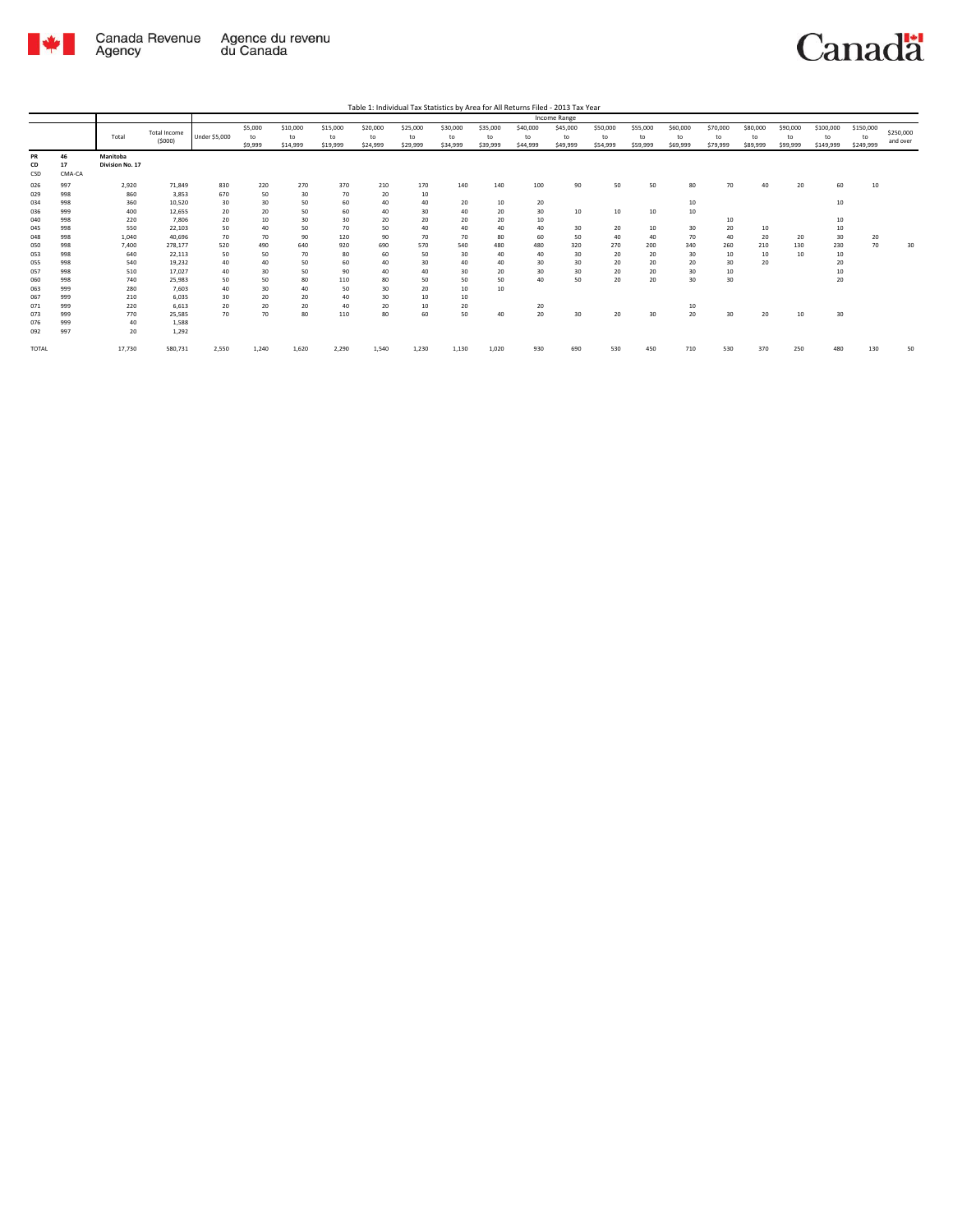

 $$250,000$ <br>and over

 $30$ 

 $50$ 

|                     |                    |                             |                               |                      |                          |                            |                            | Table 1: Individual Tax Statistics by Area for All Returns Filed - 2013 Tax Year |                            |                            |                            |                            |                            |                            |                            |                            |                            |                            |                            |                              |                              |
|---------------------|--------------------|-----------------------------|-------------------------------|----------------------|--------------------------|----------------------------|----------------------------|----------------------------------------------------------------------------------|----------------------------|----------------------------|----------------------------|----------------------------|----------------------------|----------------------------|----------------------------|----------------------------|----------------------------|----------------------------|----------------------------|------------------------------|------------------------------|
|                     |                    |                             |                               |                      |                          |                            |                            |                                                                                  |                            |                            |                            |                            | Income Range               |                            |                            |                            |                            |                            |                            |                              |                              |
|                     |                    | Total                       | <b>Total Income</b><br>(5000) | <b>Under \$5,000</b> | \$5,000<br>to<br>\$9,999 | \$10,000<br>to<br>\$14,999 | \$15,000<br>to<br>\$19,999 | \$20,000<br>to<br>\$24,999                                                       | \$25,000<br>to<br>\$29,999 | \$30,000<br>to<br>\$34,999 | \$35,000<br>to<br>\$39,999 | \$40,000<br>to<br>\$44,999 | \$45,000<br>to<br>\$49,999 | \$50,000<br>to<br>\$54,999 | \$55,000<br>to<br>\$59,999 | \$60,000<br>to<br>\$69,999 | \$70,000<br>to<br>\$79,999 | \$80,000<br>to<br>\$89,999 | \$90,000<br>to<br>\$99,999 | \$100,000<br>to<br>\$149,999 | \$150,000<br>to<br>\$249,999 |
| PR<br>CD<br>CSD     | 46<br>17<br>CMA-CA | Manitoba<br>Division No. 17 |                               |                      |                          |                            |                            |                                                                                  |                            |                            |                            |                            |                            |                            |                            |                            |                            |                            |                            |                              |                              |
| 026<br>029<br>034   | 997<br>998<br>998  | 2,920<br>860<br>360         | 71.849<br>3.853<br>10.520     | 830<br>670<br>30     | 220<br>50<br>30          | 270<br>30<br>50            | 370<br>70<br>60            | 210<br>20<br>40                                                                  | 170<br>10<br>40            | 140<br>20                  | 140<br>10                  | 100<br>20                  | 90                         | 50                         | 50                         | 80<br>10                   | 70                         | 40                         | 20                         | 60<br>10                     | 10                           |
| 036<br>040          | 999<br>998         | 400<br>220                  | 12.655<br>7.806               | 20<br>20             | 20<br>10                 | 50<br>30                   | 60<br>30                   | 40<br>20                                                                         | 30<br>20                   | 40<br>20                   | 20<br>20                   | 30<br>10                   | 10                         | 10                         | 10                         | 10                         | 10                         |                            |                            | 10                           |                              |
| 045<br>048          | 998<br>998         | 550<br>1.040                | 22,103<br>40.696              | 50<br>70             | 40<br>70                 | 50<br>90                   | 70<br>120                  | 50<br>90                                                                         | 40<br>70                   | 40<br>70                   | 40<br>80                   | 40<br>60                   | 30<br>50                   | 20<br>40                   | 10<br>40                   | 30<br>70                   | 20<br>40                   | 10<br>20                   | 20                         | 10<br>30                     | 20                           |
| 050<br>053<br>055   | 998<br>998<br>998  | 7.400<br>640<br>540         | 278.177<br>22,113<br>19.232   | 520<br>50<br>40      | 490<br>50<br>40          | 640<br>70<br>50            | 920<br>80<br>60            | 690<br>60<br>40                                                                  | 570<br>50<br>30            | 540<br>30<br>40            | 480<br>40<br>40            | 480<br>40<br>30            | 320<br>30<br>30            | 270<br>20<br>20            | 200<br>20<br>20            | 340<br>30<br>20            | 260<br>10<br>30            | 210<br>10<br>20            | 130<br>10                  | 230<br>10<br>20              | 70                           |
| 057<br>060          | 998<br>998         | 510<br>740                  | 17.027<br>25.983              | 40<br>50             | 30<br>50                 | 50<br>80                   | 90<br>110                  | 40<br>80                                                                         | 40<br>50                   | 30<br>50                   | 20<br>50                   | 30<br>40                   | 30<br>50                   | 20<br>20                   | 20<br>20                   | 30<br>30                   | 10<br>30                   |                            |                            | 10<br>20                     |                              |
| 063<br>067          | 999<br>999         | 280<br>210                  | 7.603<br>6.035                | 40<br>30             | 30<br>20                 | 40<br>20                   | 50<br>40                   | 30<br>30                                                                         | 20<br>10                   | 10<br>10                   | 10                         |                            |                            |                            |                            |                            |                            |                            |                            |                              |                              |
| 071<br>073<br>076   | 999<br>999<br>999  | 220<br>770<br>40            | 6.613<br>25.585<br>1,588      | 20<br>70             | 20<br>70                 | 20<br>80                   | 40<br>110                  | 20<br>80                                                                         | 10<br>60                   | 20<br>50                   | 40                         | 20<br>20                   | 30                         | 20                         | 30                         | 10<br>20                   | 30                         | 20                         | 10                         | 30                           |                              |
| 092<br><b>TOTAL</b> | 997                | 20<br>17,730                | 1.292<br>580,731              | 2,550                | 1,240                    | 1,620                      | 2,290                      | 1,540                                                                            | 1,230                      | 1,130                      | 1,020                      | 930                        | 690                        | 530                        | 450                        | 710                        | 530                        | 370                        | 250                        | 480                          | 130                          |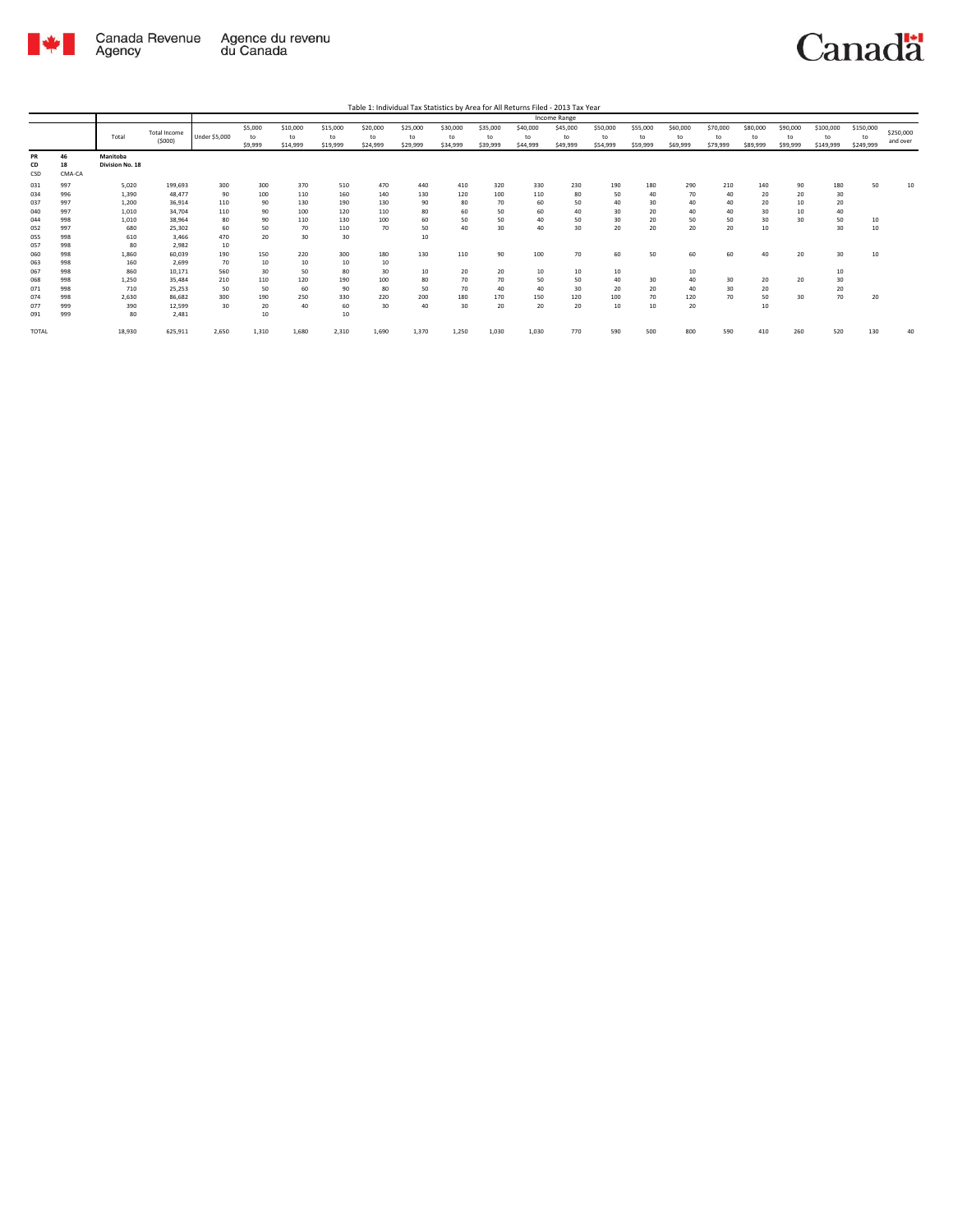

|       |        |                 |                               |               |                          |                            |                            |                            | Table 1: Individual Tax Statistics by Area for All Returns Filed - 2013 Tax Year |                            |                            |                            |                            |                            |                            |                            |                            |                            |                            |                              |                              |                       |
|-------|--------|-----------------|-------------------------------|---------------|--------------------------|----------------------------|----------------------------|----------------------------|----------------------------------------------------------------------------------|----------------------------|----------------------------|----------------------------|----------------------------|----------------------------|----------------------------|----------------------------|----------------------------|----------------------------|----------------------------|------------------------------|------------------------------|-----------------------|
|       |        |                 |                               |               |                          |                            |                            |                            |                                                                                  |                            |                            |                            | Income Range               |                            |                            |                            |                            |                            |                            |                              |                              |                       |
|       |        | Total           | <b>Total Income</b><br>(5000) | Under \$5,000 | \$5,000<br>to<br>\$9,999 | \$10,000<br>to<br>\$14,999 | \$15,000<br>to<br>\$19,999 | \$20,000<br>to<br>\$24,999 | \$25,000<br>to<br>\$29,999                                                       | \$30,000<br>to<br>\$34,999 | \$35,000<br>to<br>\$39,999 | \$40,000<br>to<br>\$44,999 | \$45,000<br>to<br>\$49,999 | \$50,000<br>to<br>\$54,999 | \$55,000<br>to<br>\$59,999 | \$60,000<br>to<br>\$69,999 | \$70,000<br>to<br>\$79,999 | \$80,000<br>to<br>\$89,999 | \$90,000<br>to<br>\$99,999 | \$100,000<br>to<br>\$149,999 | \$150,000<br>to<br>\$249,999 | \$250,000<br>and over |
| PR    | 46     | Manitoba        |                               |               |                          |                            |                            |                            |                                                                                  |                            |                            |                            |                            |                            |                            |                            |                            |                            |                            |                              |                              |                       |
| CD    | 18     | Division No. 18 |                               |               |                          |                            |                            |                            |                                                                                  |                            |                            |                            |                            |                            |                            |                            |                            |                            |                            |                              |                              |                       |
| CSD   | CMA-CA |                 |                               |               |                          |                            |                            |                            |                                                                                  |                            |                            |                            |                            |                            |                            |                            |                            |                            |                            |                              |                              |                       |
| 031   | 997    | 5,020           | 199,693                       | 300           | 300                      | 370                        | 510                        | 470                        | 440                                                                              | 410                        | 320                        | 330                        | 230                        | 190                        | 180                        | 290                        | 210                        | 140                        | 90                         | 180                          | 50                           | 10                    |
| 034   | 996    | 1,390           | 48.477                        | 90            | 100                      | 110                        | 160                        | 140                        | 130                                                                              | 120                        | 100                        | 110                        | 80                         | 50                         | 40                         | 70                         | 40                         | 20                         | 20                         | 30                           |                              |                       |
| 037   | 997    | 1,200           | 36,914                        | 110           | 90                       | 130                        | 190                        | 130                        | 90                                                                               | 80                         | 70                         | 60                         | 50                         | 40                         | 30                         | 40                         | 40                         | 20                         | 10                         | 20                           |                              |                       |
| 040   | 997    | 1,010           | 34,704                        | 110           | 90                       | 100                        | 120                        | 110                        | 80                                                                               | 60                         | 50                         | 60                         | 40                         | 30                         | 20                         | 40                         | 40                         | 30                         | 10                         | 40                           |                              |                       |
| 044   | 998    | 1,010           | 38,964                        | 80            | 90                       | 110                        | 130                        | 100                        | 60                                                                               | 50                         | 50                         | 40                         | 50                         | 30                         | 20                         | 50                         | 50                         | 30                         | 30                         | 50                           | 10                           |                       |
| 052   | 997    | 680             | 25,302                        | 60            | 50                       | 70                         | 110                        | 70                         | 50                                                                               | 40                         | 30                         | 40                         | 30                         | 20                         | 20                         | 20                         | 20                         | 10                         |                            | 30                           | 10                           |                       |
| 055   | 998    | 610             | 3,466                         | 470           | 20                       | 30                         | 30                         |                            | 10                                                                               |                            |                            |                            |                            |                            |                            |                            |                            |                            |                            |                              |                              |                       |
| 057   | 998    | 80              | 2,982                         | 10            |                          |                            |                            |                            |                                                                                  |                            |                            |                            |                            |                            |                            |                            |                            |                            |                            |                              |                              |                       |
| 060   | 998    | 1,860           | 60,039                        | 190           | 150                      | 220                        | 300                        | 180                        | 130                                                                              | 110                        | 90                         | 100                        | 70                         | 60                         | 50                         | 60                         | 60                         | 40                         | 20                         | 30                           | 10                           |                       |
| 063   | 998    | 160             | 2,699                         | 70            | 10                       | 10                         | 10                         | 10                         |                                                                                  |                            |                            |                            |                            |                            |                            |                            |                            |                            |                            |                              |                              |                       |
| 067   | 998    | 860             | 10.171                        | 560           | 30                       | 50                         | 80                         | 30                         | 10                                                                               | 20                         | 20                         | 10                         | 10                         | 10                         |                            | 10                         |                            |                            |                            | 10                           |                              |                       |
| 068   | 998    | 1,250           | 35.484                        | 210           | 110                      | 120                        | 190                        | 100                        | 80                                                                               | 70                         | 70                         | 50                         | 50                         | 40                         | 30                         | 40                         | 30                         | 20                         | 20                         | 30                           |                              |                       |
| 071   | 998    | 710             | 25,253                        | 50            | 50                       | 60                         | 90                         | 80                         | 50                                                                               | 70                         | 40                         | 40                         | 30                         | 20                         | 20                         | 40                         | 30                         | 20                         |                            | 20                           |                              |                       |
| 074   | 998    | 2,630           | 86,682                        | 300           | 190                      | 250                        | 330                        | 220                        | 200                                                                              | 180                        | 170                        | 150                        | 120                        | 100                        | 70                         | 120                        | 70                         | 50                         | 30                         | 70                           | 20                           |                       |
| 077   | 999    | 390             | 12,599                        | 30            | 20                       | 40                         | 60                         | 30                         | 40                                                                               | 30                         | 20                         | 20                         | 20                         | 10                         | 10                         | 20                         |                            | 10                         |                            |                              |                              |                       |
| 091   | 999    | 80              | 2,481                         |               | 10                       |                            | $10\,$                     |                            |                                                                                  |                            |                            |                            |                            |                            |                            |                            |                            |                            |                            |                              |                              |                       |
| TOTAL |        | 18,930          | 625,911                       | 2,650         | 1,310                    | 1,680                      | 2,310                      | 1,690                      | 1,370                                                                            | 1,250                      | 1,030                      | 1,030                      | 770                        | 590                        | 500                        | 800                        | 590                        | 410                        | 260                        | 520                          | 130                          | 40                    |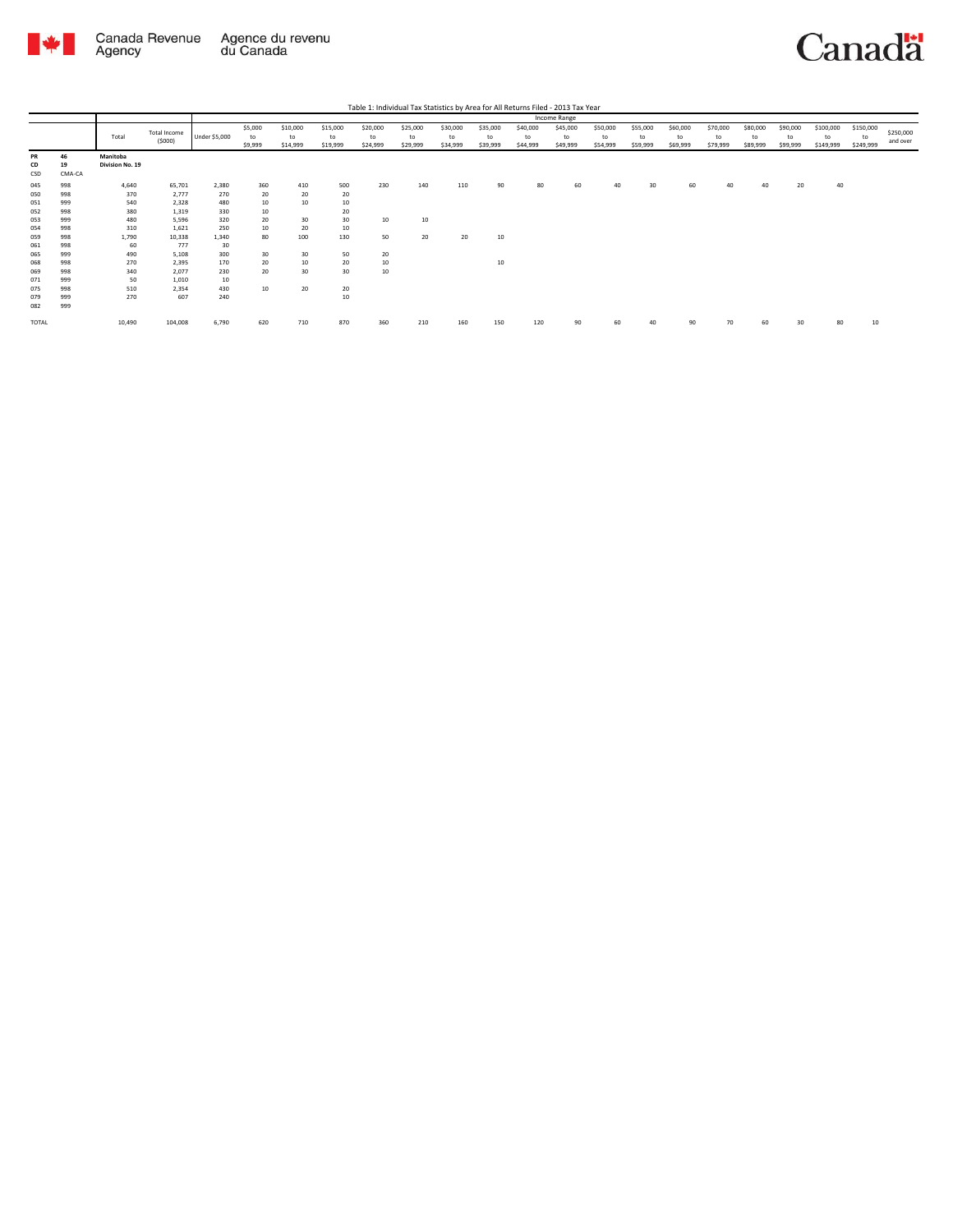



|                          |                          |                             |                                  |                         |                          |                            |                            |                            |                            |                            |                            |                            | Income Range               |                            |                            |                            |                            |                            |                            |                              |                              |                       |
|--------------------------|--------------------------|-----------------------------|----------------------------------|-------------------------|--------------------------|----------------------------|----------------------------|----------------------------|----------------------------|----------------------------|----------------------------|----------------------------|----------------------------|----------------------------|----------------------------|----------------------------|----------------------------|----------------------------|----------------------------|------------------------------|------------------------------|-----------------------|
|                          |                          | Total                       | Total Income<br>(5000)           | Under \$5,000           | \$5,000<br>to<br>\$9,999 | \$10,000<br>to<br>\$14,999 | \$15,000<br>to<br>\$19,999 | \$20,000<br>to<br>\$24,999 | \$25,000<br>to<br>\$29,999 | \$30,000<br>to<br>\$34,999 | \$35,000<br>to<br>\$39,999 | \$40,000<br>to<br>\$44,999 | \$45,000<br>to<br>\$49,999 | \$50,000<br>to<br>\$54,999 | \$55,000<br>to<br>\$59,999 | \$60,000<br>to<br>\$69,999 | \$70,000<br>to<br>\$79,999 | \$80,000<br>to<br>\$89,999 | \$90,000<br>to<br>\$99,999 | \$100,000<br>to<br>\$149,999 | \$150,000<br>to<br>\$249,999 | \$250,000<br>and over |
| PR<br>CD<br>CSD          | 46<br>19<br>CMA-CA       | Manitoba<br>Division No. 19 |                                  |                         |                          |                            |                            |                            |                            |                            |                            |                            |                            |                            |                            |                            |                            |                            |                            |                              |                              |                       |
| 045<br>050<br>051        | 998<br>998<br>999        | 4,640<br>370<br>540         | 65,701<br>2,777<br>2,328         | 2,380<br>270<br>480     | 360<br>20<br>10          | 410<br>20<br>10            | 500<br>20<br>$10\,$        | 230                        | 140                        | 110                        | 90                         | 80                         | 60                         | 40                         | 30                         | 60                         | 40                         | 40                         | 20                         | 40                           |                              |                       |
| 052<br>053<br>054        | 998<br>999<br>998        | 380<br>480<br>310           | 1,319<br>5,596<br>1,621          | 330<br>320<br>250       | 10<br>20<br>10           | 30<br>20                   | 20<br>30<br>$10\,$         | 10                         | 10                         |                            |                            |                            |                            |                            |                            |                            |                            |                            |                            |                              |                              |                       |
| 059<br>061               | 998<br>998               | 1,790<br>60                 | 10,338<br>777                    | 1,340<br>30             | 80                       | 100                        | 130                        | 50                         | 20                         | 20                         | 10                         |                            |                            |                            |                            |                            |                            |                            |                            |                              |                              |                       |
| 065<br>068<br>069<br>071 | 999<br>998<br>998<br>999 | 490<br>270<br>340<br>50     | 5,108<br>2,395<br>2,077<br>1,010 | 300<br>170<br>230<br>10 | 30<br>20<br>20           | 30<br>10<br>30             | 50<br>20<br>30             | 20<br>10<br>10             |                            |                            | 10                         |                            |                            |                            |                            |                            |                            |                            |                            |                              |                              |                       |
| 075<br>079<br>082        | 998<br>999<br>999        | 510<br>270                  | 2,354<br>607                     | 430<br>240              | 10                       | 20                         | 20<br>10                   |                            |                            |                            |                            |                            |                            |                            |                            |                            |                            |                            |                            |                              |                              |                       |
| TOTAL                    |                          | 10,490                      | 104,008                          | 6,790                   | 620                      | 710                        | 870                        | 360                        | 210                        | 160                        | 150                        | 120                        | 90                         | 60                         | 40                         | 90                         | 70                         | 60                         | R٢                         | 80                           | 10                           |                       |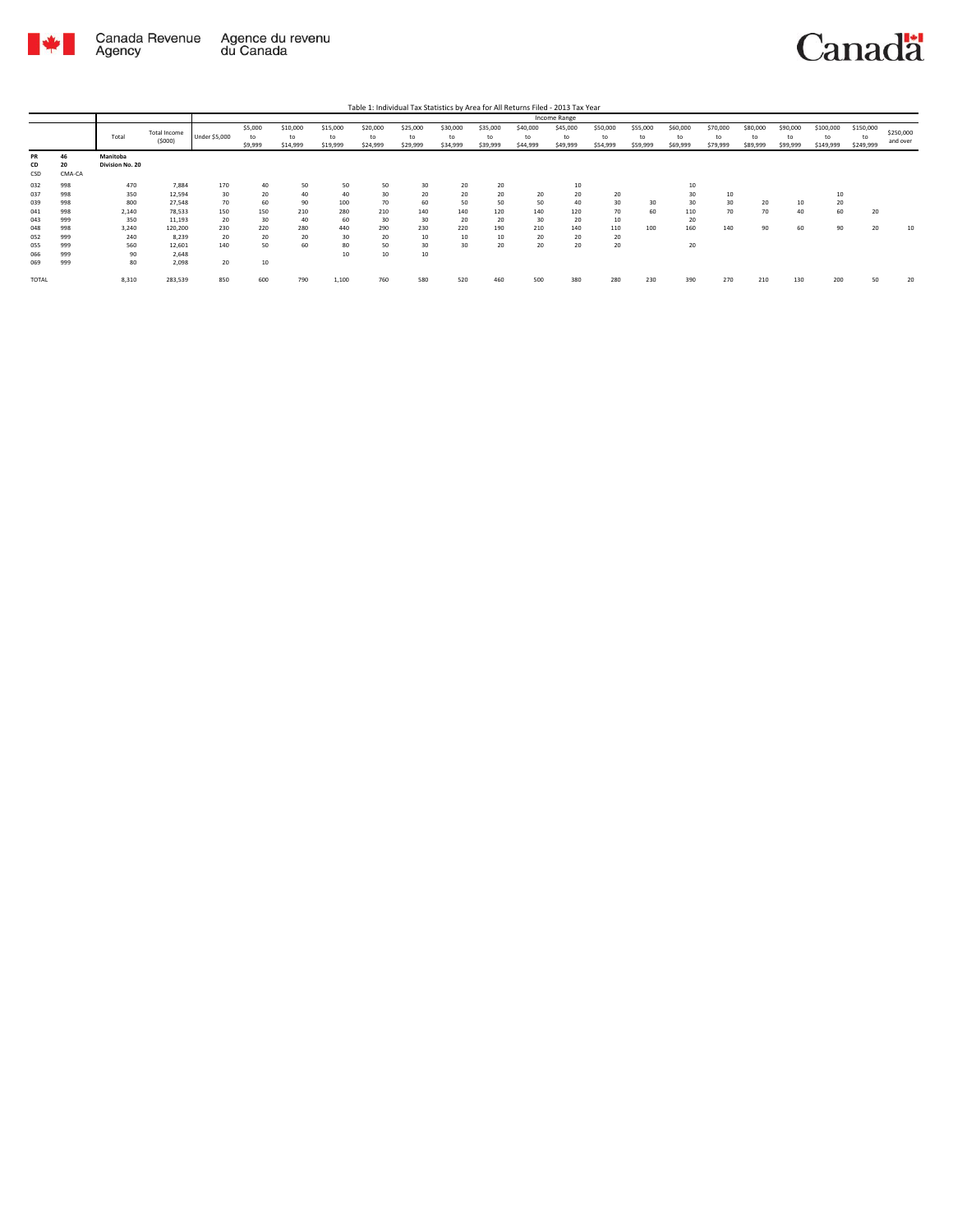

|                 |                    |                             |                        |               |                          |                            |                            |                            |                            |                            |                            |                            | Income Range               |                            |                            |                            |                            |                            |                            |                              |                              |                       |
|-----------------|--------------------|-----------------------------|------------------------|---------------|--------------------------|----------------------------|----------------------------|----------------------------|----------------------------|----------------------------|----------------------------|----------------------------|----------------------------|----------------------------|----------------------------|----------------------------|----------------------------|----------------------------|----------------------------|------------------------------|------------------------------|-----------------------|
|                 |                    | Total                       | Total Income<br>(5000) | Under \$5,000 | \$5,000<br>to<br>\$9,999 | \$10,000<br>to<br>\$14,999 | \$15,000<br>to<br>\$19,999 | \$20,000<br>to<br>\$24,999 | \$25,000<br>to<br>\$29,999 | \$30,000<br>to<br>\$34,999 | \$35,000<br>to<br>\$39,999 | \$40,000<br>to<br>\$44,999 | \$45,000<br>to<br>\$49,999 | \$50,000<br>to<br>\$54,999 | \$55,000<br>to<br>\$59,999 | \$60,000<br>to<br>\$69,999 | \$70,000<br>to<br>\$79,999 | \$80,000<br>to<br>\$89,999 | \$90,000<br>to<br>\$99,999 | \$100,000<br>to<br>\$149,999 | \$150,000<br>to<br>\$249,999 | \$250,000<br>and over |
| PR<br>CD<br>CSD | 46<br>20<br>CMA-CA | Manitoba<br>Division No. 20 |                        |               |                          |                            |                            |                            |                            |                            |                            |                            |                            |                            |                            |                            |                            |                            |                            |                              |                              |                       |
| 032             | 998                | 470                         | 7,884                  | 170           | 40                       | 50                         | 50                         | 50                         | 30                         | 20                         | 20                         |                            | 10                         |                            |                            | 10                         |                            |                            |                            |                              |                              |                       |
| 037             | 998                | 350                         | 12,594                 | 30            | 20                       | 40                         | 40                         | 30                         | 20                         | 20                         | 20                         | 20                         | 20                         | 20                         |                            | 30                         | 10                         |                            |                            | 10                           |                              |                       |
| 039             | 998                | 800                         | 27,548                 | 70            | 60                       | 90                         | 100                        | 70                         | 60                         | 50                         | 50                         | 50                         | 40                         | 30                         | 30                         | 30                         | 30                         | 20                         | 10                         | 20                           |                              |                       |
| 041             | 998                | 2,140                       | 78,533                 | 150           | 150                      | 210                        | 280                        | 210                        | 140                        | 140                        | 120                        | 140                        | 120                        | 70                         | 60                         | 110                        | 70                         | 70                         | 40                         | 60                           | 20                           |                       |
| 043             | 999                | 350                         | 11,193                 | 20            | 30                       | 40                         | 60                         | 30                         | 30                         | 20                         | 20                         | 30                         | 20                         | 10                         |                            | 20                         |                            |                            |                            |                              |                              |                       |
| 048             | 998                | 3.240                       | 120,200                | 230           | 220                      | 280                        | 440                        | 290                        | 230                        | 220                        | 190                        | 210                        | 140                        | 110                        | 100                        | 160                        | 140                        | 90                         | 60                         | 90                           | 20                           | 10                    |
| 052             | 999                | 240                         | 8,239                  | 20            | 20                       | 20                         | 30                         | 20                         | 10                         | 10                         | 10                         | 20                         | 20                         | 20                         |                            |                            |                            |                            |                            |                              |                              |                       |
| 055             | 999                | 560                         | 12,601                 | 140           | 50                       | 60                         | 80                         | 50                         | 30                         | 30                         | 20                         | 20                         | 20                         | 20                         |                            | 20                         |                            |                            |                            |                              |                              |                       |
| 066             | 999                | 90                          | 2,648                  |               |                          |                            | 10                         | 10                         | 10                         |                            |                            |                            |                            |                            |                            |                            |                            |                            |                            |                              |                              |                       |
| 069             | 999                | 80                          | 2,098                  | 20            | 10                       |                            |                            |                            |                            |                            |                            |                            |                            |                            |                            |                            |                            |                            |                            |                              |                              |                       |
| <b>TOTAL</b>    |                    | 8,310                       | 283,539                | 850           | 600                      | 790                        | 1,100                      | 760                        | 580                        | 520                        | 460                        | 500                        | 380                        | 280                        | 230                        | 390                        | 270                        | 210                        | 130                        | 200                          | 50                           | 20                    |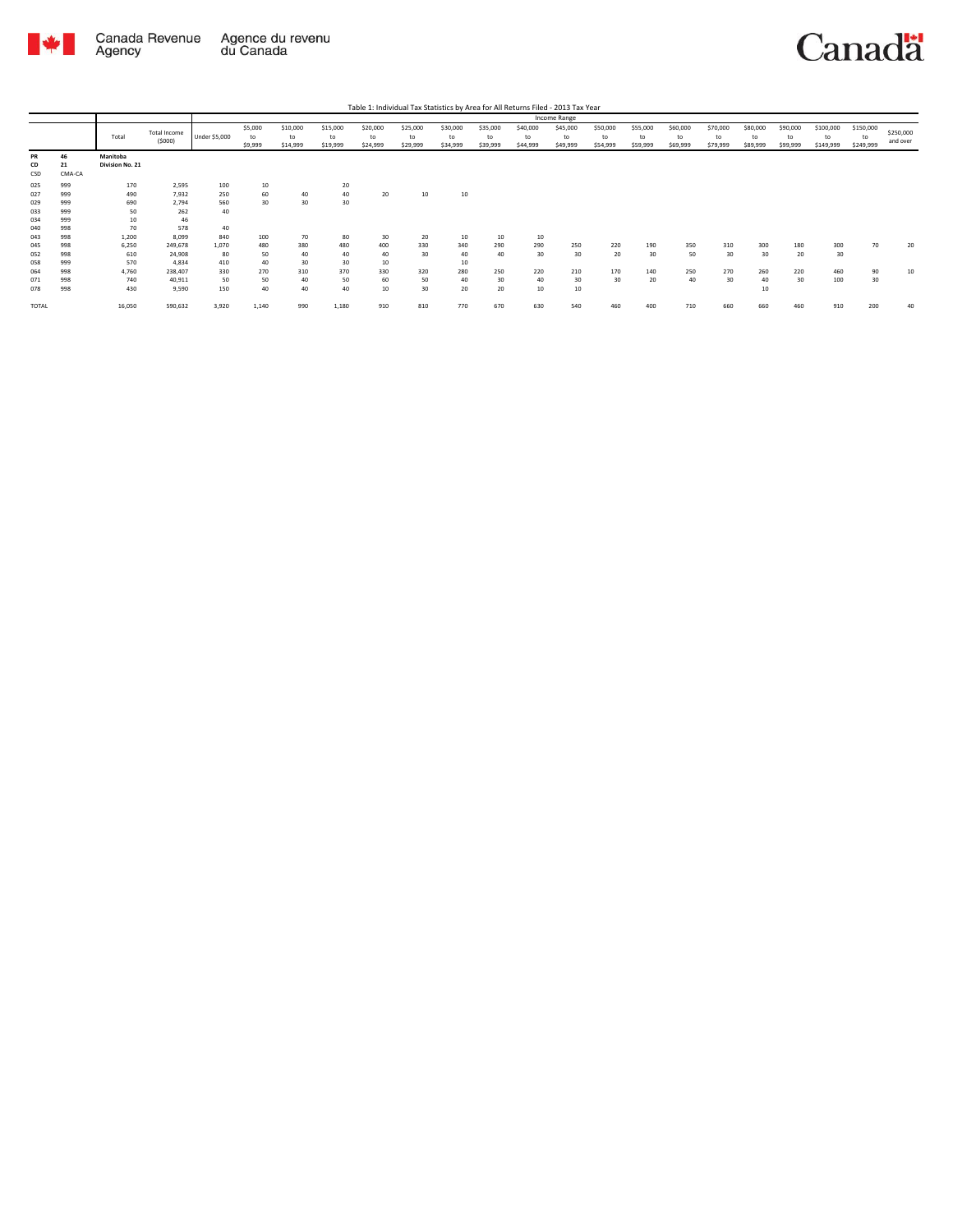

|                 |                    |                             |                               |               |                          |                            |                            |                            |                            |                            |                            |                            | Income Range               |                            |                            |                            |                            |                            |                            |                              |                              |                       |
|-----------------|--------------------|-----------------------------|-------------------------------|---------------|--------------------------|----------------------------|----------------------------|----------------------------|----------------------------|----------------------------|----------------------------|----------------------------|----------------------------|----------------------------|----------------------------|----------------------------|----------------------------|----------------------------|----------------------------|------------------------------|------------------------------|-----------------------|
|                 |                    | Total                       | <b>Total Income</b><br>(5000) | Under \$5,000 | \$5,000<br>to<br>\$9,999 | \$10,000<br>to<br>\$14,999 | \$15,000<br>to<br>\$19,999 | \$20,000<br>to<br>\$24,999 | \$25,000<br>to<br>\$29,999 | \$30,000<br>to<br>\$34,999 | \$35,000<br>to<br>\$39,999 | \$40,000<br>to<br>\$44,999 | \$45,000<br>to<br>\$49,999 | \$50,000<br>to<br>\$54,999 | \$55,000<br>to<br>\$59,999 | \$60,000<br>to<br>\$69,999 | \$70,000<br>to<br>\$79,999 | \$80,000<br>to<br>\$89,999 | \$90,000<br>to<br>\$99,999 | \$100,000<br>to<br>\$149,999 | \$150,000<br>to<br>\$249,999 | \$250,000<br>and over |
| PR<br>CD<br>CSD | 46<br>21<br>CMA-CA | Manitoba<br>Division No. 21 |                               |               |                          |                            |                            |                            |                            |                            |                            |                            |                            |                            |                            |                            |                            |                            |                            |                              |                              |                       |
| 025             | 999                | 170                         | 2,595                         | 100           | 10                       |                            | 20                         |                            |                            |                            |                            |                            |                            |                            |                            |                            |                            |                            |                            |                              |                              |                       |
| 027             | 999                | 490                         | 7,932                         | 250           | 60                       | 40                         | 40                         | 20                         | 10                         | 10                         |                            |                            |                            |                            |                            |                            |                            |                            |                            |                              |                              |                       |
| 029             | 999                | 690                         | 2,794                         | 560           | 30                       | 30                         | 30                         |                            |                            |                            |                            |                            |                            |                            |                            |                            |                            |                            |                            |                              |                              |                       |
| 033             | 999                | 50                          | 262                           | 40            |                          |                            |                            |                            |                            |                            |                            |                            |                            |                            |                            |                            |                            |                            |                            |                              |                              |                       |
| 034             | 999                | 10                          | 46                            |               |                          |                            |                            |                            |                            |                            |                            |                            |                            |                            |                            |                            |                            |                            |                            |                              |                              |                       |
| 040             | 998                | 70                          | 578                           | 40            |                          |                            |                            |                            |                            |                            |                            |                            |                            |                            |                            |                            |                            |                            |                            |                              |                              |                       |
| 043             | 998                | 1,200                       | 8,099                         | 840           | 100                      | 70                         | 80                         | 30                         | 20                         | 10                         | 10                         | 10                         |                            |                            |                            |                            |                            |                            |                            |                              |                              |                       |
| 045             | 998                | 6,250                       | 249,678                       | 1,070         | 480                      | 380                        | 480                        | 400                        | 330                        | 340                        | 290                        | 290                        | 250                        | 220                        | 190                        | 350                        | 310                        | 300                        | 180                        | 300                          | 70                           | 20                    |
| 052             | 998                | 610                         | 24,908                        | 80            | 50                       | 40                         | 40                         | 40                         | 30                         | 40                         | 40                         | 30                         | 30                         | 20                         | 30                         | 50                         | 30                         | 30                         | 20                         | 30                           |                              |                       |
| 058             | 999                | 570                         | 4,834                         | 410           | 40                       | 30                         | 30                         | 10                         |                            | 10                         |                            |                            |                            |                            |                            |                            |                            |                            |                            |                              |                              |                       |
| 064             | 998                | 4,760                       | 238,407                       | 330           | 270                      | 310                        | 370                        | 330                        | 320                        | 280                        | 250                        | 220                        | 210                        | 170                        | 140                        | 250                        | 270                        | 260                        | 220                        | 460                          | 90                           | 10                    |
| 071             | 998                | 740                         | 40,911                        | 50            | 50                       | 40                         | 50                         | 60                         | 50                         | 40                         | 30                         | 40                         | 30                         | 30                         | 20                         | 40                         | 30                         | 40                         | 30                         | 100                          | 30                           |                       |
| 078             | 998                | 430                         | 9,590                         | 150           | 40                       | 40                         | 40                         | 10                         | 30                         | 20                         | 20                         | 10                         | 10                         |                            |                            |                            |                            | 10                         |                            |                              |                              |                       |
| TOTAL           |                    | 16,050                      | 590,632                       | 3,920         | 1,140                    | 990                        | 1,180                      | 910                        | 810                        | 770                        | 670                        | 630                        | 540                        | 460                        | 400                        | 710                        | 660                        | 660                        | 460                        | 910                          | 200                          | 40                    |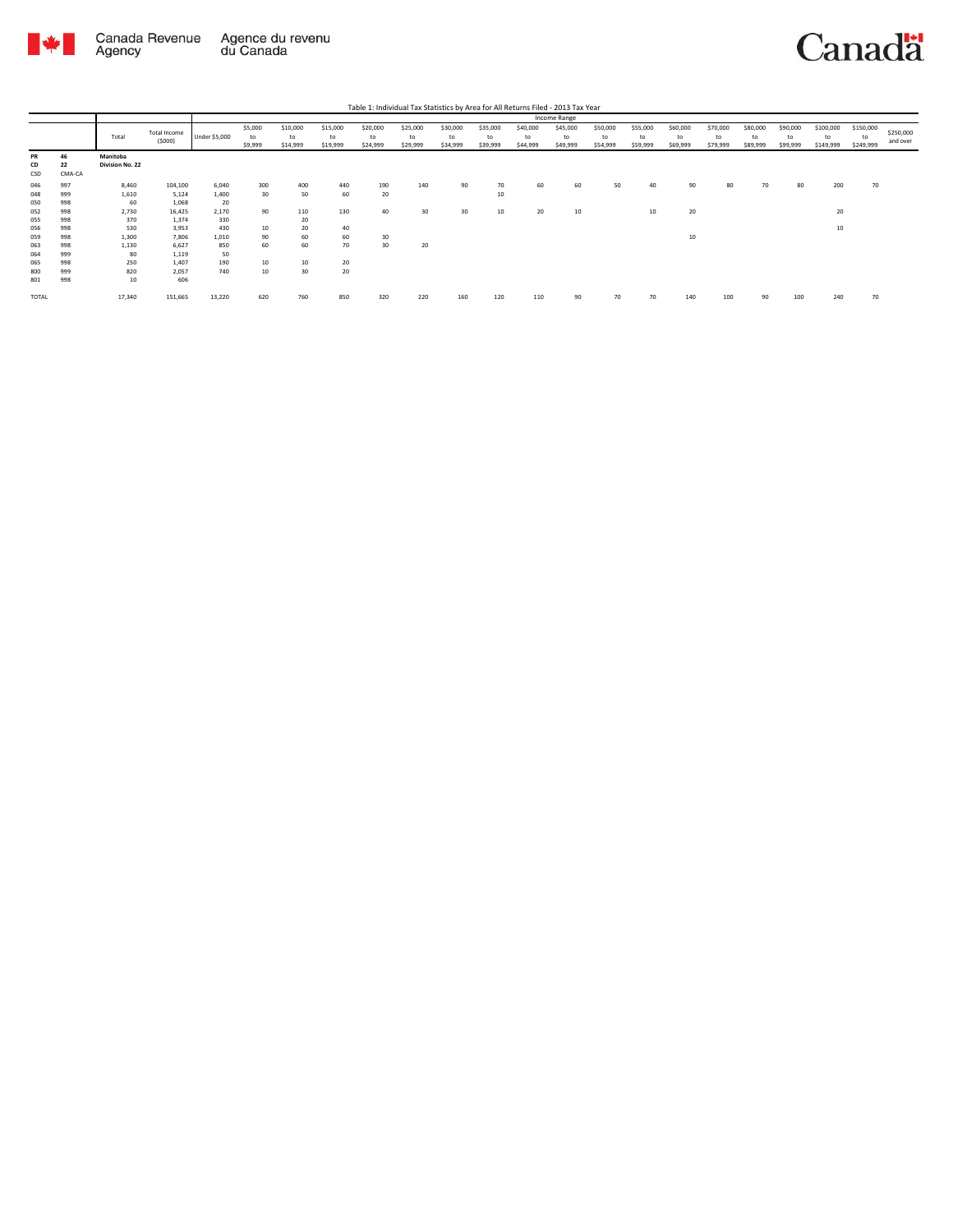

|                   |                    |                             |                         |                  |                          |                            |                            |                            |                            |                            |                            |                            | Income Range               |                            |                            |                            |                            |                            |                            |                              |                              |                       |
|-------------------|--------------------|-----------------------------|-------------------------|------------------|--------------------------|----------------------------|----------------------------|----------------------------|----------------------------|----------------------------|----------------------------|----------------------------|----------------------------|----------------------------|----------------------------|----------------------------|----------------------------|----------------------------|----------------------------|------------------------------|------------------------------|-----------------------|
|                   |                    | Total                       | Total Income<br>(5000)  | Under \$5,000    | \$5,000<br>to<br>\$9,999 | \$10,000<br>to<br>\$14,999 | \$15,000<br>to<br>\$19,999 | \$20,000<br>to<br>\$24,999 | \$25,000<br>to<br>\$29,999 | \$30,000<br>to<br>\$34,999 | \$35,000<br>to<br>\$39,999 | \$40,000<br>to<br>\$44,999 | \$45,000<br>to<br>\$49,999 | \$50,000<br>to<br>\$54,999 | \$55,000<br>to<br>\$59,999 | \$60,000<br>to<br>\$69,999 | \$70,000<br>to<br>\$79,999 | \$80,000<br>to<br>\$89,999 | \$90,000<br>to<br>\$99,999 | \$100,000<br>to<br>\$149,999 | \$150,000<br>to<br>\$249,999 | \$250,000<br>and over |
| PR<br>CD<br>CSD   | 46<br>22<br>CMA-CA | Manitoba<br>Division No. 22 |                         |                  |                          |                            |                            |                            |                            |                            |                            |                            |                            |                            |                            |                            |                            |                            |                            |                              |                              |                       |
| 046<br>048        | 997<br>999         | 8,460<br>1,610              | 104,100<br>5,124        | 6,040<br>1,400   | 300<br>30                | 400<br>50                  | 440<br>60                  | 190<br>20                  | 140                        | 90                         | 70<br>10                   | 60                         | 60                         | 50                         | 40                         | 90                         | 80                         | 70                         | 80                         | 200                          | 70                           |                       |
| 050<br>052        | 998<br>998         | 60<br>2,730                 | 1,068<br>16,425         | 20<br>2,170      | 90                       | 110                        | 130                        | 40                         | 30                         | 30                         | 10                         | 20                         | 10                         |                            | $10$                       | 20                         |                            |                            |                            | 20                           |                              |                       |
| 055<br>056        | 998<br>998         | 370<br>530                  | 1,374<br>3,953          | 330<br>430       | 10                       | 20<br>20                   | 40                         |                            |                            |                            |                            |                            |                            |                            |                            |                            |                            |                            |                            | 10                           |                              |                       |
| 059<br>063        | 998<br>998         | 1,300<br>1,130              | 7,806<br>6,627          | 1,010<br>850     | 90<br>60                 | 60<br>60                   | 60<br>70                   | 30<br>30                   | 20                         |                            |                            |                            |                            |                            |                            | 10                         |                            |                            |                            |                              |                              |                       |
| 064<br>065<br>800 | 999<br>998<br>999  | 80<br>250<br>820            | 1,119<br>1,407<br>2,057 | 50<br>190<br>740 | 10<br>10                 | 10<br>30                   | 20<br>20                   |                            |                            |                            |                            |                            |                            |                            |                            |                            |                            |                            |                            |                              |                              |                       |
| 801               | 998                | 10                          | 606                     |                  |                          |                            |                            |                            |                            |                            |                            |                            |                            |                            |                            |                            |                            |                            |                            |                              |                              |                       |
| TOTAL             |                    | 17,340                      | 151,665                 | 13,220           | 620                      | 760                        | 850                        | 320                        | 220                        | 160                        | 120                        | 110                        | 90                         | 70                         | 70                         | 140                        | 100                        | 90                         | 100                        | 240                          | 70                           |                       |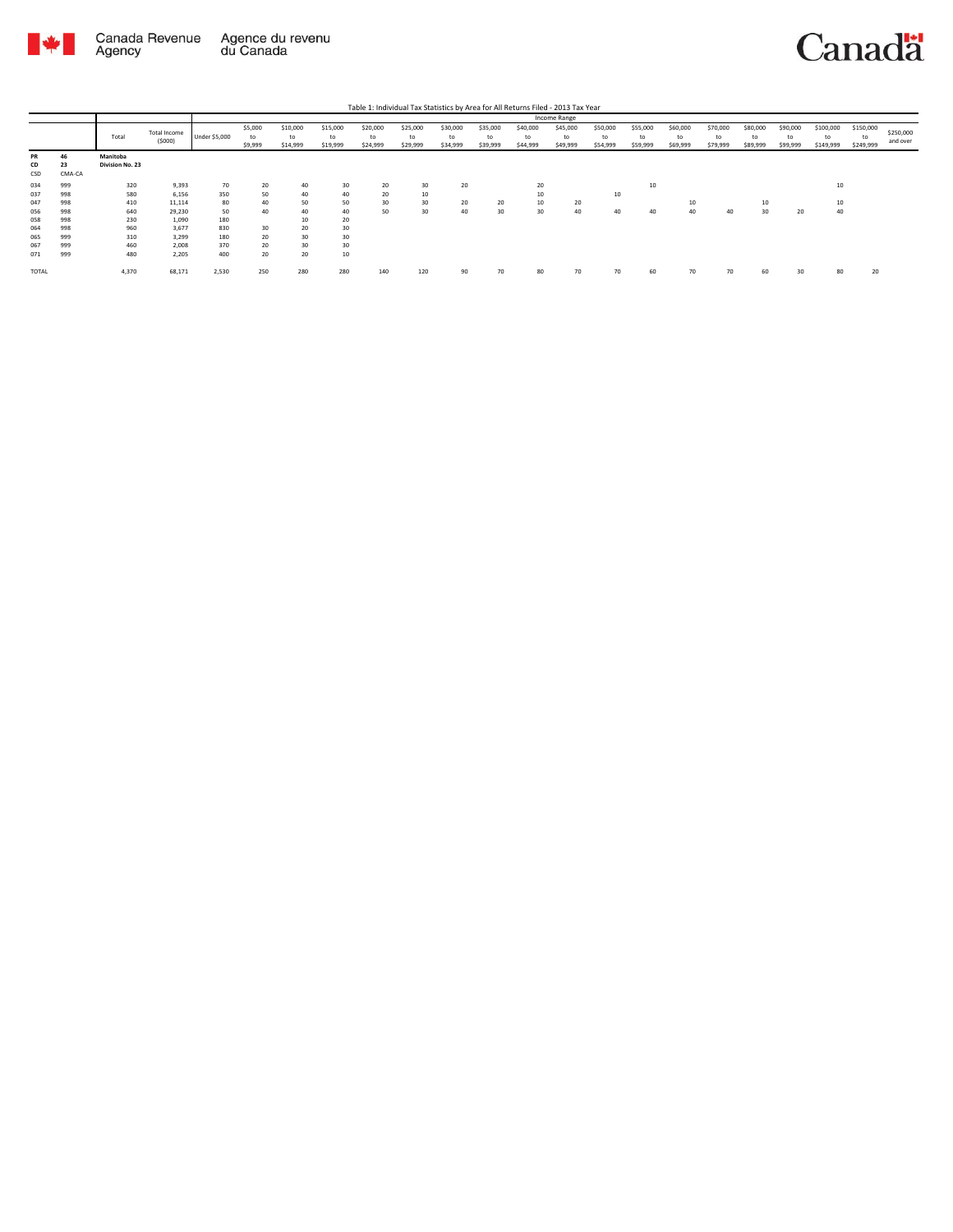

|                 |                    |                             |                        |               | Income Range             |                            |                            |                            |                            |                            |                            |                            |                            |                            |                            |                            |                            |                            |                            |                        |                              |                       |
|-----------------|--------------------|-----------------------------|------------------------|---------------|--------------------------|----------------------------|----------------------------|----------------------------|----------------------------|----------------------------|----------------------------|----------------------------|----------------------------|----------------------------|----------------------------|----------------------------|----------------------------|----------------------------|----------------------------|------------------------|------------------------------|-----------------------|
|                 |                    | Total                       | Total Income<br>(5000) | Under \$5,000 | \$5,000<br>to<br>\$9,999 | \$10,000<br>to<br>\$14,999 | \$15,000<br>to<br>\$19,999 | \$20,000<br>to<br>\$24,999 | \$25,000<br>to<br>\$29,999 | \$30,000<br>to<br>\$34,999 | \$35,000<br>to<br>\$39,999 | \$40,000<br>to<br>\$44,999 | \$45,000<br>to<br>\$49,999 | \$50,000<br>to<br>\$54,999 | \$55,000<br>to<br>\$59,999 | \$60,000<br>to<br>\$69,999 | \$70,000<br>to<br>\$79,999 | \$80,000<br>to<br>\$89,999 | \$90,000<br>to<br>\$99,999 | \$100,000<br>\$149,999 | \$150,000<br>to<br>\$249,999 | \$250,000<br>and over |
| PR<br>CD<br>CSD | 46<br>23<br>CMA-CA | Manitoba<br>Division No. 23 |                        |               |                          |                            |                            |                            |                            |                            |                            |                            |                            |                            |                            |                            |                            |                            |                            |                        |                              |                       |
| 034             | 999                | 320                         | 9,393                  | 70            | 20                       | 40                         | 30                         | 20                         | 30                         | 20                         |                            | 20                         |                            |                            | 10                         |                            |                            |                            |                            | 10                     |                              |                       |
| 037             | 998                | 580                         | 6,156                  | 350           | 50                       | 40                         | 40                         | 20                         | 10                         |                            |                            | 10                         |                            | 10                         |                            |                            |                            |                            |                            |                        |                              |                       |
| 047             | 998                | 410                         | 11,114                 | 80            | 40                       | 50                         | 50                         | 30                         | 30                         | 20                         | 20                         | 10                         | 20                         |                            |                            | 10                         |                            | 10                         |                            | 10                     |                              |                       |
| 056             | 998                | 640                         | 29,230                 | 50            | 40                       | 40                         | 40                         | 50                         | 30                         | 40                         | 30                         | 30                         | 40                         | 40                         | 40                         | 40                         | 40                         | 30                         | 20                         | 40                     |                              |                       |
| 058             | 998                | 230                         | 1,090                  | 180           |                          | 10                         | 20                         |                            |                            |                            |                            |                            |                            |                            |                            |                            |                            |                            |                            |                        |                              |                       |
| 064             | 998                | 960                         | 3,677                  | 830           | 30                       | 20                         | 30                         |                            |                            |                            |                            |                            |                            |                            |                            |                            |                            |                            |                            |                        |                              |                       |
| 065             | 999                | 310                         | 3,299                  | 180           | 20                       | 30                         | 30                         |                            |                            |                            |                            |                            |                            |                            |                            |                            |                            |                            |                            |                        |                              |                       |
| 067             | 999                | 460                         | 2,008                  | 370           | 20                       | 30                         | 30                         |                            |                            |                            |                            |                            |                            |                            |                            |                            |                            |                            |                            |                        |                              |                       |
| 071             | 999                | 480                         | 2,205                  | 400           | 20                       | 20                         | $10\,$                     |                            |                            |                            |                            |                            |                            |                            |                            |                            |                            |                            |                            |                        |                              |                       |
| <b>TOTAL</b>    |                    | 4,370                       | 68,171                 | 2,530         | 250                      | 280                        | 280                        | 140                        | 120                        | 90                         | 70                         |                            | 70                         | 70                         | 60                         | 70                         |                            | 60                         | 30                         | R(                     | 20                           |                       |